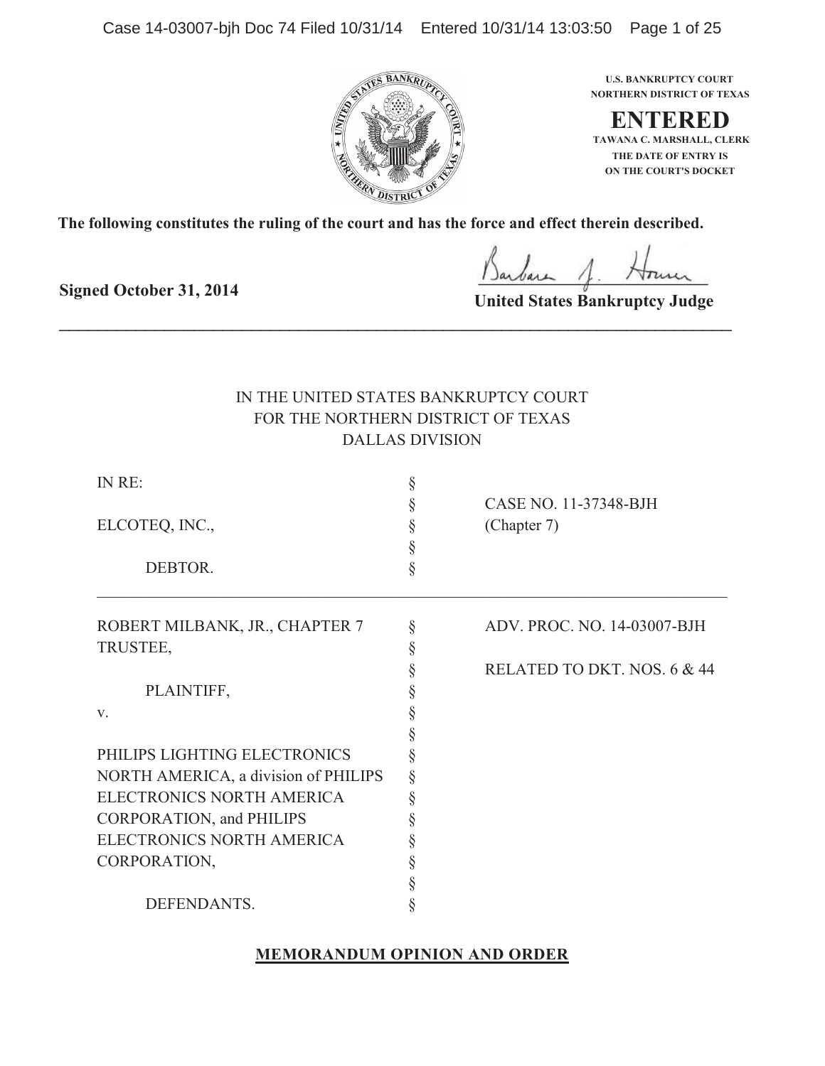Case 14-03007-bjh Doc 74 Filed 10/31/14 Entered 10/31/14 13:03:50 Page 1 of 25



**NORTHERN DISTRICT OF TEXAS U.S. BANKRUPTCY COURT**

**ENTERED ON THE COURT'S DOCKET THE DATE OF ENTRY IS TAWANA C. MARSHALL, CLERK**

**The following constitutes the ruling of the court and has the force and effect therein described.**

\_\_\_\_\_\_\_\_\_\_\_\_\_\_\_\_\_\_\_\_\_\_\_\_\_\_\_\_\_\_\_\_\_\_\_\_\_\_\_\_\_\_\_\_\_\_\_\_\_\_\_\_\_\_\_\_\_\_\_\_\_\_\_\_\_\_\_\_\_\_

**Signed October 31, 2014**

**United States Bankruptcy Judge**

# IN THE UNITED STATES BANKRUPTCY COURT FOR THE NORTHERN DISTRICT OF TEXAS DALLAS DIVISION

| IN RE:                               |        | §                           |                                |
|--------------------------------------|--------|-----------------------------|--------------------------------|
|                                      |        | CASE NO. 11-37348-BJH       |                                |
| ELCOTEQ, INC.,<br>DEBTOR.            | §      | (Chapter 7)                 |                                |
|                                      | §<br>§ |                             |                                |
|                                      |        |                             | ROBERT MILBANK, JR., CHAPTER 7 |
| TRUSTEE,                             | §      |                             |                                |
|                                      |        | RELATED TO DKT. NOS. 6 & 44 |                                |
| PLAINTIFF,                           |        |                             |                                |
| V.                                   |        |                             |                                |
|                                      |        |                             |                                |
| PHILIPS LIGHTING ELECTRONICS         |        |                             |                                |
| NORTH AMERICA, a division of PHILIPS |        |                             |                                |
| ELECTRONICS NORTH AMERICA            |        |                             |                                |
| <b>CORPORATION, and PHILIPS</b>      |        |                             |                                |
| ELECTRONICS NORTH AMERICA            |        |                             |                                |
| CORPORATION,                         |        |                             |                                |
|                                      |        |                             |                                |
| DEFENDANTS.                          |        |                             |                                |

## **MEMORANDUM OPINION AND ORDER**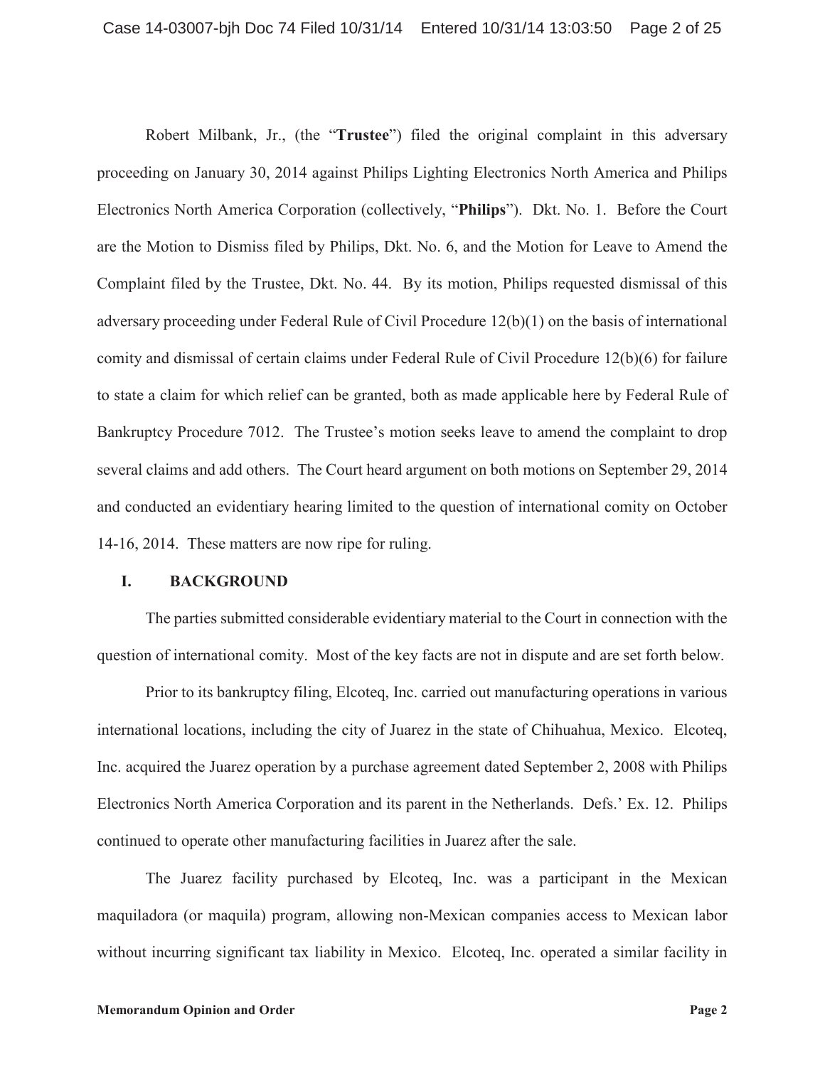Robert Milbank, Jr., (the "**Trustee**") filed the original complaint in this adversary proceeding on January 30, 2014 against Philips Lighting Electronics North America and Philips Electronics North America Corporation (collectively, "**Philips**"). Dkt. No. 1. Before the Court are the Motion to Dismiss filed by Philips, Dkt. No. 6, and the Motion for Leave to Amend the Complaint filed by the Trustee, Dkt. No. 44. By its motion, Philips requested dismissal of this adversary proceeding under Federal Rule of Civil Procedure 12(b)(1) on the basis of international comity and dismissal of certain claims under Federal Rule of Civil Procedure 12(b)(6) for failure to state a claim for which relief can be granted, both as made applicable here by Federal Rule of Bankruptcy Procedure 7012. The Trustee's motion seeks leave to amend the complaint to drop several claims and add others. The Court heard argument on both motions on September 29, 2014 and conducted an evidentiary hearing limited to the question of international comity on October 14-16, 2014. These matters are now ripe for ruling.

## **I. BACKGROUND**

The parties submitted considerable evidentiary material to the Court in connection with the question of international comity. Most of the key facts are not in dispute and are set forth below.

Prior to its bankruptcy filing, Elcoteq, Inc. carried out manufacturing operations in various international locations, including the city of Juarez in the state of Chihuahua, Mexico. Elcoteq, Inc. acquired the Juarez operation by a purchase agreement dated September 2, 2008 with Philips Electronics North America Corporation and its parent in the Netherlands. Defs.' Ex. 12. Philips continued to operate other manufacturing facilities in Juarez after the sale.

The Juarez facility purchased by Elcoteq, Inc. was a participant in the Mexican maquiladora (or maquila) program, allowing non-Mexican companies access to Mexican labor without incurring significant tax liability in Mexico. Elcoteq, Inc. operated a similar facility in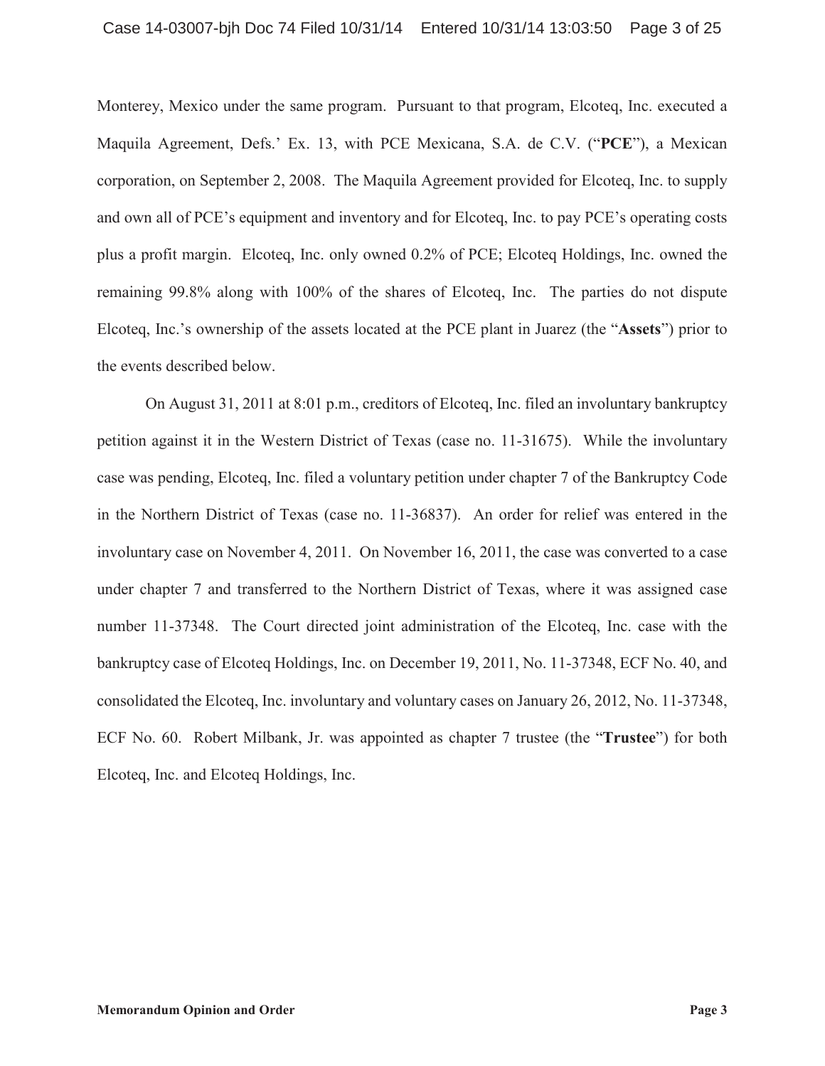Monterey, Mexico under the same program. Pursuant to that program, Elcoteq, Inc. executed a Maquila Agreement, Defs.' Ex. 13, with PCE Mexicana, S.A. de C.V. ("**PCE**"), a Mexican corporation, on September 2, 2008. The Maquila Agreement provided for Elcoteq, Inc. to supply and own all of PCE's equipment and inventory and for Elcoteq, Inc. to pay PCE's operating costs plus a profit margin. Elcoteq, Inc. only owned 0.2% of PCE; Elcoteq Holdings, Inc. owned the remaining 99.8% along with 100% of the shares of Elcoteq, Inc. The parties do not dispute Elcoteq, Inc.'s ownership of the assets located at the PCE plant in Juarez (the "**Assets**") prior to the events described below.

On August 31, 2011 at 8:01 p.m., creditors of Elcoteq, Inc. filed an involuntary bankruptcy petition against it in the Western District of Texas (case no. 11-31675). While the involuntary case was pending, Elcoteq, Inc. filed a voluntary petition under chapter 7 of the Bankruptcy Code in the Northern District of Texas (case no. 11-36837). An order for relief was entered in the involuntary case on November 4, 2011. On November 16, 2011, the case was converted to a case under chapter 7 and transferred to the Northern District of Texas, where it was assigned case number 11-37348. The Court directed joint administration of the Elcoteq, Inc. case with the bankruptcy case of Elcoteq Holdings, Inc. on December 19, 2011, No. 11-37348, ECF No. 40, and consolidated the Elcoteq, Inc. involuntary and voluntary cases on January 26, 2012, No. 11-37348, ECF No. 60. Robert Milbank, Jr. was appointed as chapter 7 trustee (the "**Trustee**") for both Elcoteq, Inc. and Elcoteq Holdings, Inc.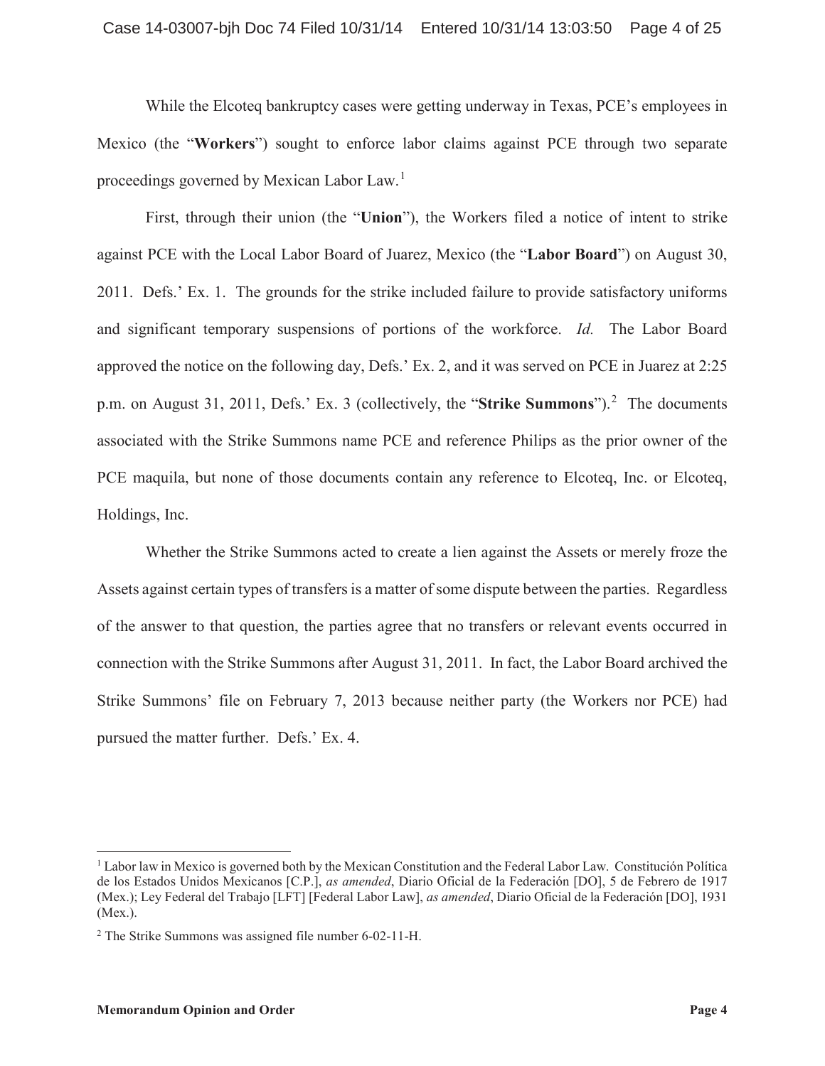While the Elcoteq bankruptcy cases were getting underway in Texas, PCE's employees in Mexico (the "**Workers**") sought to enforce labor claims against PCE through two separate proceedings governed by Mexican Labor Law.<sup>1</sup>

First, through their union (the "**Union**"), the Workers filed a notice of intent to strike against PCE with the Local Labor Board of Juarez, Mexico (the "**Labor Board**") on August 30, 2011. Defs.' Ex. 1. The grounds for the strike included failure to provide satisfactory uniforms and significant temporary suspensions of portions of the workforce. *Id.* The Labor Board approved the notice on the following day, Defs.' Ex. 2, and it was served on PCE in Juarez at 2:25 p.m. on August 31, 2011, Defs.' Ex. 3 (collectively, the "**Strike Summons**").<sup>2</sup> The documents associated with the Strike Summons name PCE and reference Philips as the prior owner of the PCE maquila, but none of those documents contain any reference to Elcoteq, Inc. or Elcoteq, Holdings, Inc.

Whether the Strike Summons acted to create a lien against the Assets or merely froze the Assets against certain types of transfers is a matter of some dispute between the parties. Regardless of the answer to that question, the parties agree that no transfers or relevant events occurred in connection with the Strike Summons after August 31, 2011. In fact, the Labor Board archived the Strike Summons' file on February 7, 2013 because neither party (the Workers nor PCE) had pursued the matter further. Defs.' Ex. 4.

<sup>1</sup> Labor law in Mexico is governed both by the Mexican Constitution and the Federal Labor Law. Constitución Política de los Estados Unidos Mexicanos [C.P.], *as amended*, Diario Oficial de la Federación [DO], 5 de Febrero de 1917 (Mex.); Ley Federal del Trabajo [LFT] [Federal Labor Law], *as amended*, Diario Oficial de la Federación [DO], 1931 (Mex.).

<sup>2</sup> The Strike Summons was assigned file number 6-02-11-H.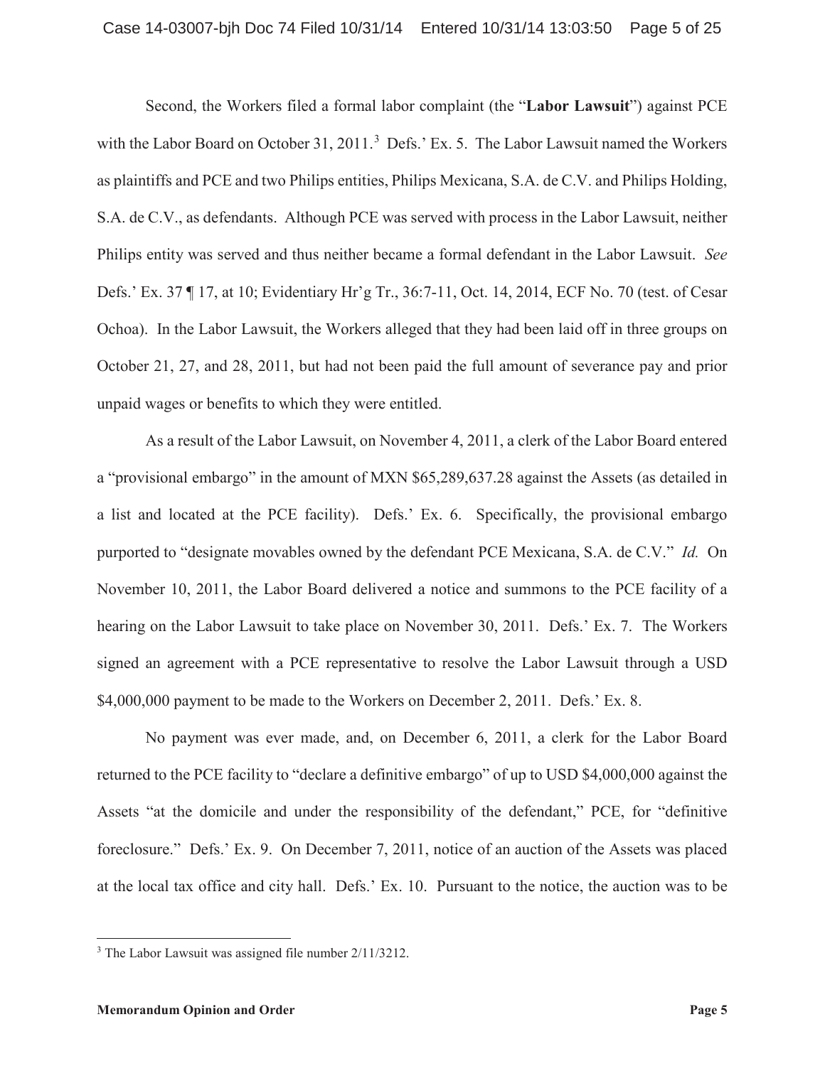Second, the Workers filed a formal labor complaint (the "**Labor Lawsuit**") against PCE with the Labor Board on October 31, 2011.<sup>3</sup> Defs.' Ex. 5. The Labor Lawsuit named the Workers as plaintiffs and PCE and two Philips entities, Philips Mexicana, S.A. de C.V. and Philips Holding, S.A. de C.V., as defendants. Although PCE was served with process in the Labor Lawsuit, neither Philips entity was served and thus neither became a formal defendant in the Labor Lawsuit. *See* Defs.' Ex. 37 ¶ 17, at 10; Evidentiary Hr'g Tr., 36:7-11, Oct. 14, 2014, ECF No. 70 (test. of Cesar Ochoa). In the Labor Lawsuit, the Workers alleged that they had been laid off in three groups on October 21, 27, and 28, 2011, but had not been paid the full amount of severance pay and prior unpaid wages or benefits to which they were entitled.

As a result of the Labor Lawsuit, on November 4, 2011, a clerk of the Labor Board entered a "provisional embargo" in the amount of MXN \$65,289,637.28 against the Assets (as detailed in a list and located at the PCE facility). Defs.' Ex. 6. Specifically, the provisional embargo purported to "designate movables owned by the defendant PCE Mexicana, S.A. de C.V." *Id.* On November 10, 2011, the Labor Board delivered a notice and summons to the PCE facility of a hearing on the Labor Lawsuit to take place on November 30, 2011. Defs.' Ex. 7. The Workers signed an agreement with a PCE representative to resolve the Labor Lawsuit through a USD \$4,000,000 payment to be made to the Workers on December 2, 2011. Defs.' Ex. 8.

No payment was ever made, and, on December 6, 2011, a clerk for the Labor Board returned to the PCE facility to "declare a definitive embargo" of up to USD \$4,000,000 against the Assets "at the domicile and under the responsibility of the defendant," PCE, for "definitive foreclosure." Defs.' Ex. 9. On December 7, 2011, notice of an auction of the Assets was placed at the local tax office and city hall. Defs.' Ex. 10. Pursuant to the notice, the auction was to be

<sup>3</sup> The Labor Lawsuit was assigned file number 2/11/3212.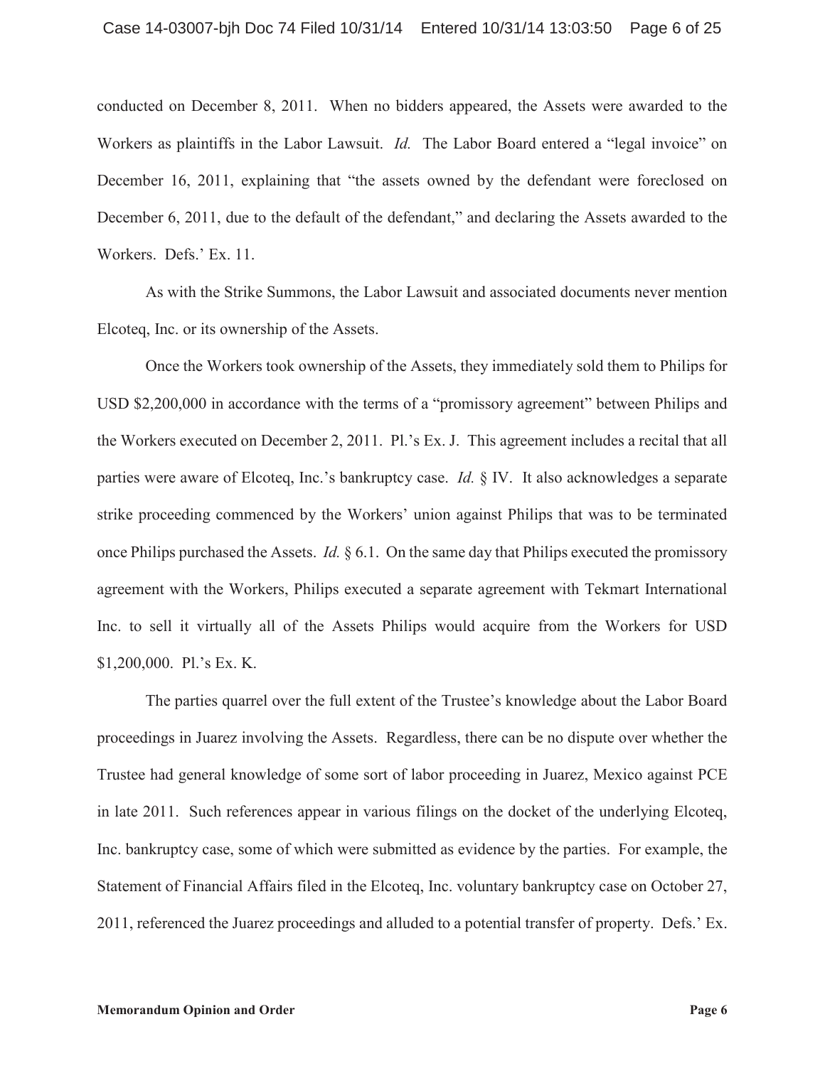conducted on December 8, 2011. When no bidders appeared, the Assets were awarded to the Workers as plaintiffs in the Labor Lawsuit. *Id.* The Labor Board entered a "legal invoice" on December 16, 2011, explaining that "the assets owned by the defendant were foreclosed on December 6, 2011, due to the default of the defendant," and declaring the Assets awarded to the Workers. Defs.' Ex. 11.

As with the Strike Summons, the Labor Lawsuit and associated documents never mention Elcoteq, Inc. or its ownership of the Assets.

Once the Workers took ownership of the Assets, they immediately sold them to Philips for USD \$2,200,000 in accordance with the terms of a "promissory agreement" between Philips and the Workers executed on December 2, 2011. Pl.'s Ex. J. This agreement includes a recital that all parties were aware of Elcoteq, Inc.'s bankruptcy case. *Id.* § IV. It also acknowledges a separate strike proceeding commenced by the Workers' union against Philips that was to be terminated once Philips purchased the Assets. *Id.* § 6.1. On the same day that Philips executed the promissory agreement with the Workers, Philips executed a separate agreement with Tekmart International Inc. to sell it virtually all of the Assets Philips would acquire from the Workers for USD \$1,200,000. Pl.'s Ex. K.

The parties quarrel over the full extent of the Trustee's knowledge about the Labor Board proceedings in Juarez involving the Assets. Regardless, there can be no dispute over whether the Trustee had general knowledge of some sort of labor proceeding in Juarez, Mexico against PCE in late 2011. Such references appear in various filings on the docket of the underlying Elcoteq, Inc. bankruptcy case, some of which were submitted as evidence by the parties. For example, the Statement of Financial Affairs filed in the Elcoteq, Inc. voluntary bankruptcy case on October 27, 2011, referenced the Juarez proceedings and alluded to a potential transfer of property. Defs.' Ex.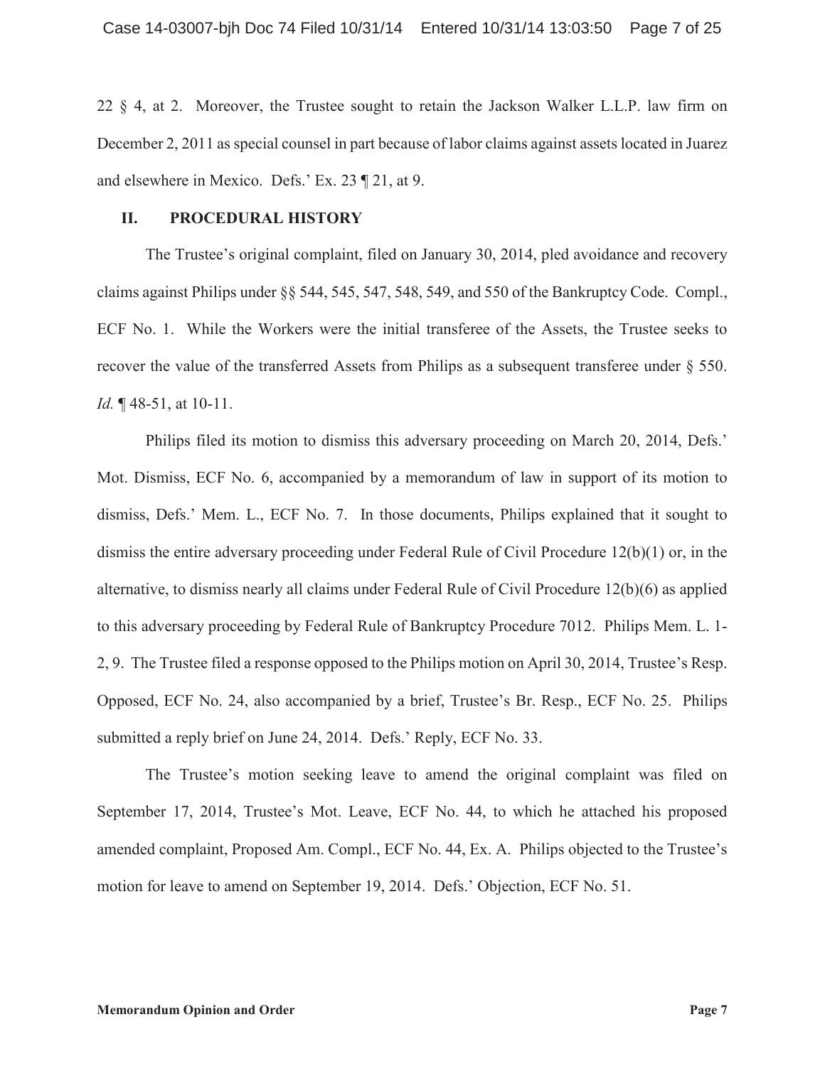22 § 4, at 2. Moreover, the Trustee sought to retain the Jackson Walker L.L.P. law firm on December 2, 2011 as special counsel in part because of labor claims against assets located in Juarez and elsewhere in Mexico. Defs.' Ex. 23 ¶ 21, at 9.

#### **II. PROCEDURAL HISTORY**

The Trustee's original complaint, filed on January 30, 2014, pled avoidance and recovery claims against Philips under §§ 544, 545, 547, 548, 549, and 550 of the Bankruptcy Code. Compl., ECF No. 1. While the Workers were the initial transferee of the Assets, the Trustee seeks to recover the value of the transferred Assets from Philips as a subsequent transferee under § 550. *Id.* ¶ 48-51, at 10-11.

Philips filed its motion to dismiss this adversary proceeding on March 20, 2014, Defs.' Mot. Dismiss, ECF No. 6, accompanied by a memorandum of law in support of its motion to dismiss, Defs.' Mem. L., ECF No. 7. In those documents, Philips explained that it sought to dismiss the entire adversary proceeding under Federal Rule of Civil Procedure 12(b)(1) or, in the alternative, to dismiss nearly all claims under Federal Rule of Civil Procedure 12(b)(6) as applied to this adversary proceeding by Federal Rule of Bankruptcy Procedure 7012. Philips Mem. L. 1- 2, 9. The Trustee filed a response opposed to the Philips motion on April 30, 2014, Trustee's Resp. Opposed, ECF No. 24, also accompanied by a brief, Trustee's Br. Resp., ECF No. 25. Philips submitted a reply brief on June 24, 2014. Defs.' Reply, ECF No. 33.

The Trustee's motion seeking leave to amend the original complaint was filed on September 17, 2014, Trustee's Mot. Leave, ECF No. 44, to which he attached his proposed amended complaint, Proposed Am. Compl., ECF No. 44, Ex. A. Philips objected to the Trustee's motion for leave to amend on September 19, 2014. Defs.' Objection, ECF No. 51.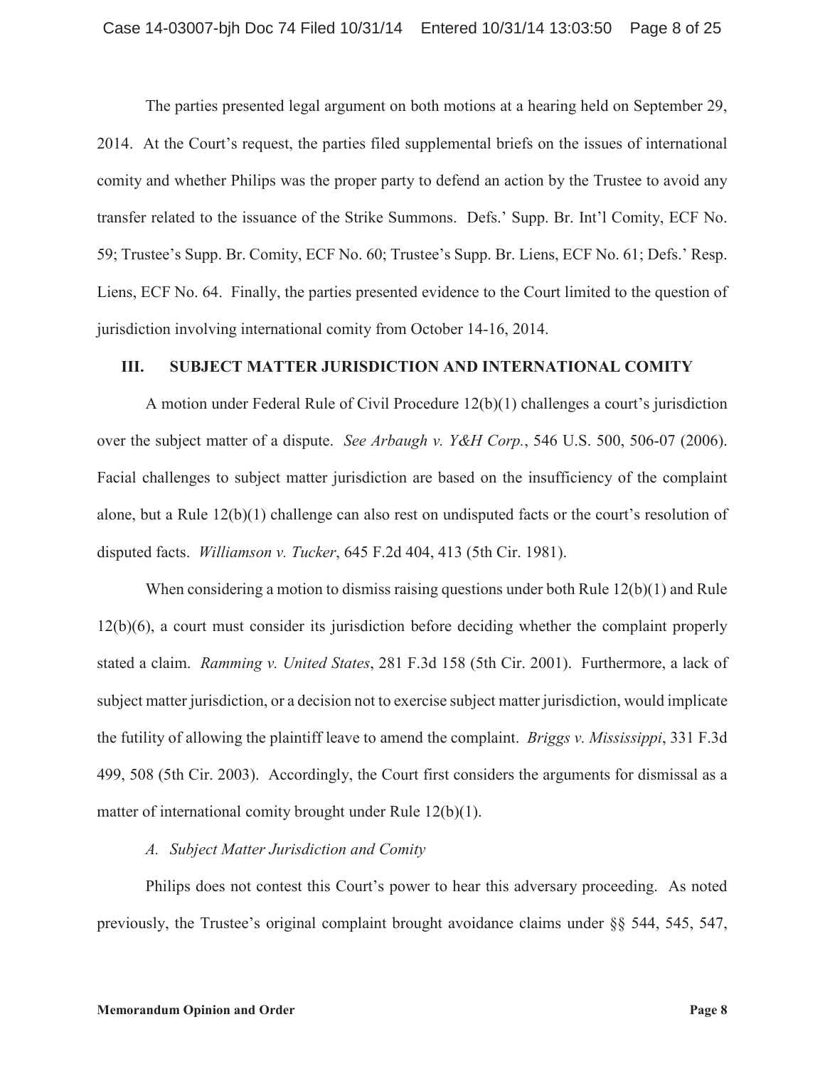The parties presented legal argument on both motions at a hearing held on September 29, 2014. At the Court's request, the parties filed supplemental briefs on the issues of international comity and whether Philips was the proper party to defend an action by the Trustee to avoid any transfer related to the issuance of the Strike Summons. Defs.' Supp. Br. Int'l Comity, ECF No. 59; Trustee's Supp. Br. Comity, ECF No. 60; Trustee's Supp. Br. Liens, ECF No. 61; Defs.' Resp. Liens, ECF No. 64. Finally, the parties presented evidence to the Court limited to the question of jurisdiction involving international comity from October 14-16, 2014.

#### **III. SUBJECT MATTER JURISDICTION AND INTERNATIONAL COMITY**

A motion under Federal Rule of Civil Procedure 12(b)(1) challenges a court's jurisdiction over the subject matter of a dispute. *See Arbaugh v. Y&H Corp.*, 546 U.S. 500, 506-07 (2006). Facial challenges to subject matter jurisdiction are based on the insufficiency of the complaint alone, but a Rule 12(b)(1) challenge can also rest on undisputed facts or the court's resolution of disputed facts. *Williamson v. Tucker*, 645 F.2d 404, 413 (5th Cir. 1981).

When considering a motion to dismiss raising questions under both Rule  $12(b)(1)$  and Rule 12(b)(6), a court must consider its jurisdiction before deciding whether the complaint properly stated a claim. *Ramming v. United States*, 281 F.3d 158 (5th Cir. 2001). Furthermore, a lack of subject matter jurisdiction, or a decision not to exercise subject matter jurisdiction, would implicate the futility of allowing the plaintiff leave to amend the complaint. *Briggs v. Mississippi*, 331 F.3d 499, 508 (5th Cir. 2003). Accordingly, the Court first considers the arguments for dismissal as a matter of international comity brought under Rule 12(b)(1).

#### *A. Subject Matter Jurisdiction and Comity*

Philips does not contest this Court's power to hear this adversary proceeding. As noted previously, the Trustee's original complaint brought avoidance claims under §§ 544, 545, 547,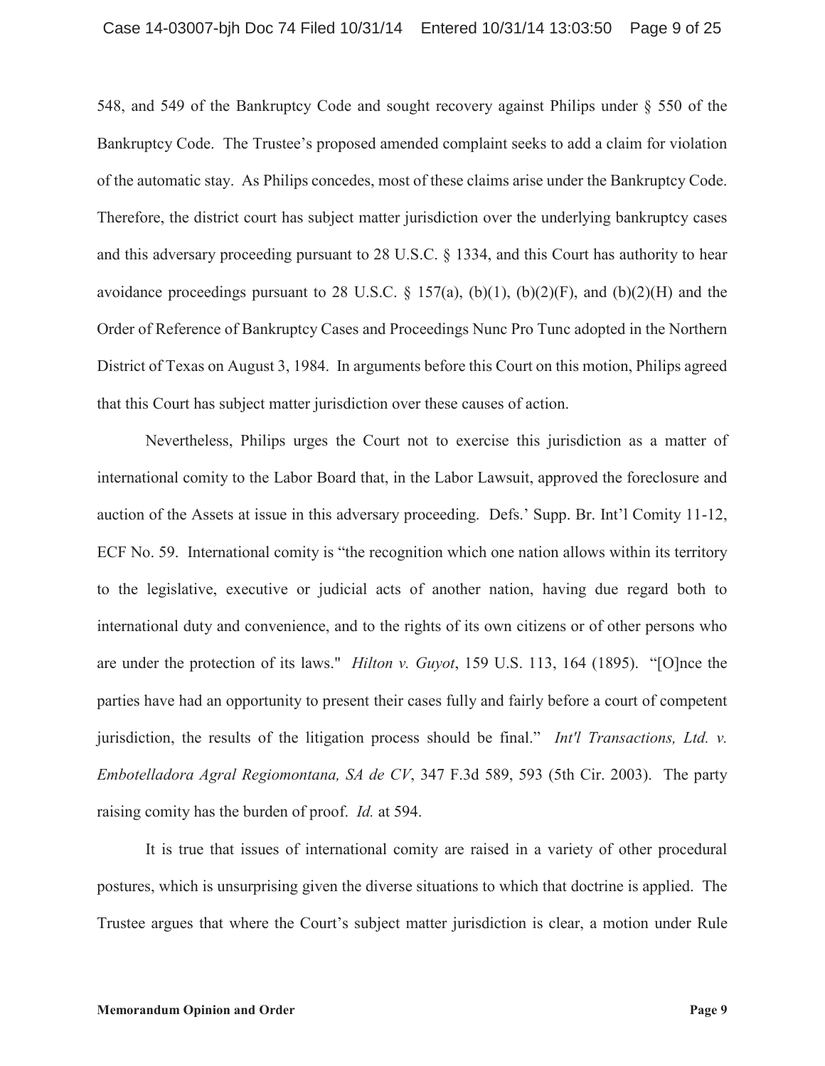548, and 549 of the Bankruptcy Code and sought recovery against Philips under § 550 of the Bankruptcy Code. The Trustee's proposed amended complaint seeks to add a claim for violation of the automatic stay. As Philips concedes, most of these claims arise under the Bankruptcy Code. Therefore, the district court has subject matter jurisdiction over the underlying bankruptcy cases and this adversary proceeding pursuant to 28 U.S.C. § 1334, and this Court has authority to hear avoidance proceedings pursuant to 28 U.S.C.  $\S$  157(a), (b)(1), (b)(2)(F), and (b)(2)(H) and the Order of Reference of Bankruptcy Cases and Proceedings Nunc Pro Tunc adopted in the Northern District of Texas on August 3, 1984. In arguments before this Court on this motion, Philips agreed that this Court has subject matter jurisdiction over these causes of action.

Nevertheless, Philips urges the Court not to exercise this jurisdiction as a matter of international comity to the Labor Board that, in the Labor Lawsuit, approved the foreclosure and auction of the Assets at issue in this adversary proceeding. Defs.' Supp. Br. Int'l Comity 11-12, ECF No. 59. International comity is "the recognition which one nation allows within its territory to the legislative, executive or judicial acts of another nation, having due regard both to international duty and convenience, and to the rights of its own citizens or of other persons who are under the protection of its laws." *Hilton v. Guyot*, 159 U.S. 113, 164 (1895). "[O]nce the parties have had an opportunity to present their cases fully and fairly before a court of competent jurisdiction, the results of the litigation process should be final." *Int'l Transactions, Ltd. v. Embotelladora Agral Regiomontana, SA de CV*, 347 F.3d 589, 593 (5th Cir. 2003). The party raising comity has the burden of proof. *Id.* at 594.

It is true that issues of international comity are raised in a variety of other procedural postures, which is unsurprising given the diverse situations to which that doctrine is applied. The Trustee argues that where the Court's subject matter jurisdiction is clear, a motion under Rule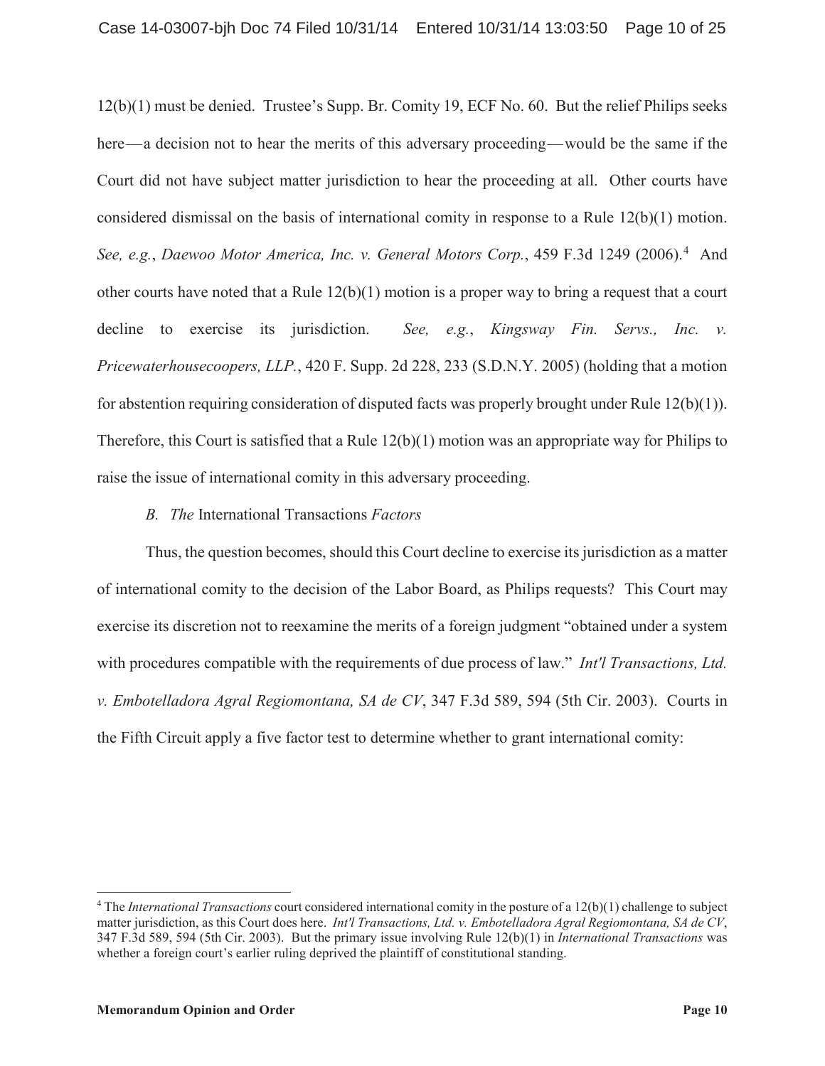12(b)(1) must be denied. Trustee's Supp. Br. Comity 19, ECF No. 60. But the relief Philips seeks here—a decision not to hear the merits of this adversary proceeding—would be the same if the Court did not have subject matter jurisdiction to hear the proceeding at all. Other courts have considered dismissal on the basis of international comity in response to a Rule 12(b)(1) motion. See, e.g., *Daewoo Motor America, Inc. v. General Motors Corp.*, 459 F.3d 1249 (2006).<sup>4</sup> And other courts have noted that a Rule 12(b)(1) motion is a proper way to bring a request that a court decline to exercise its jurisdiction. *See, e.g.*, *Kingsway Fin. Servs., Inc. v. Pricewaterhousecoopers, LLP.*, 420 F. Supp. 2d 228, 233 (S.D.N.Y. 2005) (holding that a motion for abstention requiring consideration of disputed facts was properly brought under Rule 12(b)(1)). Therefore, this Court is satisfied that a Rule 12(b)(1) motion was an appropriate way for Philips to raise the issue of international comity in this adversary proceeding.

## *B. The* International Transactions *Factors*

Thus, the question becomes, should this Court decline to exercise its jurisdiction as a matter of international comity to the decision of the Labor Board, as Philips requests? This Court may exercise its discretion not to reexamine the merits of a foreign judgment "obtained under a system with procedures compatible with the requirements of due process of law." *Int'l Transactions, Ltd. v. Embotelladora Agral Regiomontana, SA de CV*, 347 F.3d 589, 594 (5th Cir. 2003). Courts in the Fifth Circuit apply a five factor test to determine whether to grant international comity:

<sup>4</sup> The *International Transactions* court considered international comity in the posture of a 12(b)(1) challenge to subject matter jurisdiction, as this Court does here. *Int'l Transactions, Ltd. v. Embotelladora Agral Regiomontana, SA de CV*, 347 F.3d 589, 594 (5th Cir. 2003). But the primary issue involving Rule 12(b)(1) in *International Transactions* was whether a foreign court's earlier ruling deprived the plaintiff of constitutional standing.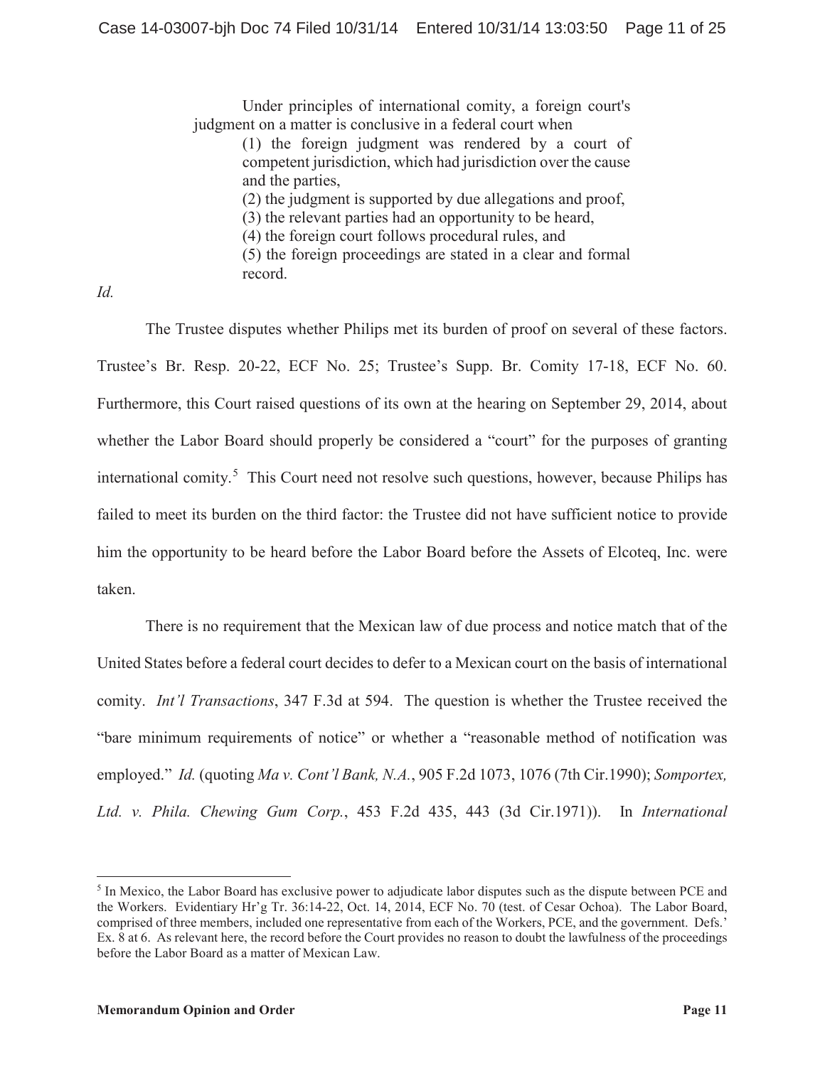Under principles of international comity, a foreign court's judgment on a matter is conclusive in a federal court when (1) the foreign judgment was rendered by a court of competent jurisdiction, which had jurisdiction over the cause and the parties, (2) the judgment is supported by due allegations and proof, (3) the relevant parties had an opportunity to be heard, (4) the foreign court follows procedural rules, and (5) the foreign proceedings are stated in a clear and formal record.

*Id.*

The Trustee disputes whether Philips met its burden of proof on several of these factors. Trustee's Br. Resp. 20-22, ECF No. 25; Trustee's Supp. Br. Comity 17-18, ECF No. 60. Furthermore, this Court raised questions of its own at the hearing on September 29, 2014, about whether the Labor Board should properly be considered a "court" for the purposes of granting international comity.<sup>5</sup> This Court need not resolve such questions, however, because Philips has failed to meet its burden on the third factor: the Trustee did not have sufficient notice to provide him the opportunity to be heard before the Labor Board before the Assets of Elcoteq, Inc. were taken.

There is no requirement that the Mexican law of due process and notice match that of the United States before a federal court decides to defer to a Mexican court on the basis of international comity. *Int'l Transactions*, 347 F.3d at 594. The question is whether the Trustee received the "bare minimum requirements of notice" or whether a "reasonable method of notification was employed." *Id.* (quoting *Ma v. Cont'l Bank, N.A.*, 905 F.2d 1073, 1076 (7th Cir.1990); *Somportex, Ltd. v. Phila. Chewing Gum Corp.*, 453 F.2d 435, 443 (3d Cir.1971)). In *International* 

<sup>&</sup>lt;sup>5</sup> In Mexico, the Labor Board has exclusive power to adjudicate labor disputes such as the dispute between PCE and the Workers. Evidentiary Hr'g Tr. 36:14-22, Oct. 14, 2014, ECF No. 70 (test. of Cesar Ochoa). The Labor Board, comprised of three members, included one representative from each of the Workers, PCE, and the government. Defs.' Ex. 8 at 6. As relevant here, the record before the Court provides no reason to doubt the lawfulness of the proceedings before the Labor Board as a matter of Mexican Law.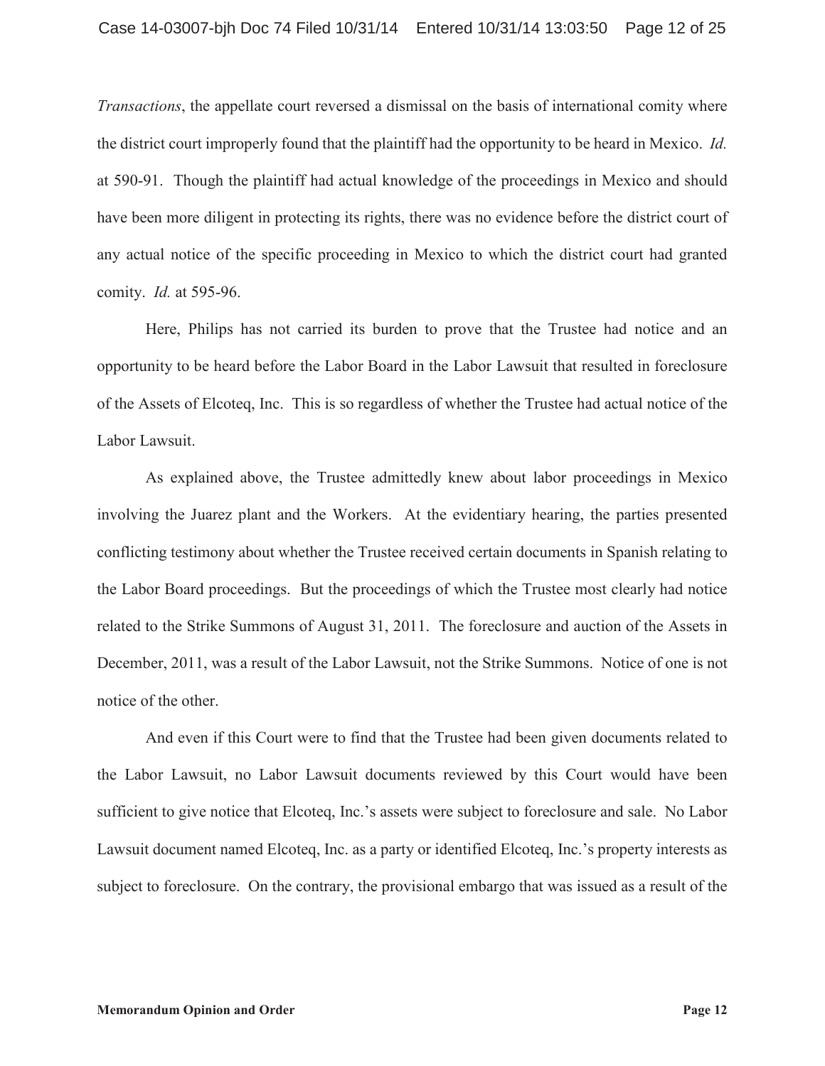*Transactions*, the appellate court reversed a dismissal on the basis of international comity where the district court improperly found that the plaintiff had the opportunity to be heard in Mexico. *Id.* at 590-91. Though the plaintiff had actual knowledge of the proceedings in Mexico and should have been more diligent in protecting its rights, there was no evidence before the district court of any actual notice of the specific proceeding in Mexico to which the district court had granted comity. *Id.* at 595-96.

Here, Philips has not carried its burden to prove that the Trustee had notice and an opportunity to be heard before the Labor Board in the Labor Lawsuit that resulted in foreclosure of the Assets of Elcoteq, Inc. This is so regardless of whether the Trustee had actual notice of the Labor Lawsuit.

As explained above, the Trustee admittedly knew about labor proceedings in Mexico involving the Juarez plant and the Workers. At the evidentiary hearing, the parties presented conflicting testimony about whether the Trustee received certain documents in Spanish relating to the Labor Board proceedings. But the proceedings of which the Trustee most clearly had notice related to the Strike Summons of August 31, 2011. The foreclosure and auction of the Assets in December, 2011, was a result of the Labor Lawsuit, not the Strike Summons. Notice of one is not notice of the other.

And even if this Court were to find that the Trustee had been given documents related to the Labor Lawsuit, no Labor Lawsuit documents reviewed by this Court would have been sufficient to give notice that Elcoteq, Inc.'s assets were subject to foreclosure and sale. No Labor Lawsuit document named Elcoteq, Inc. as a party or identified Elcoteq, Inc.'s property interests as subject to foreclosure. On the contrary, the provisional embargo that was issued as a result of the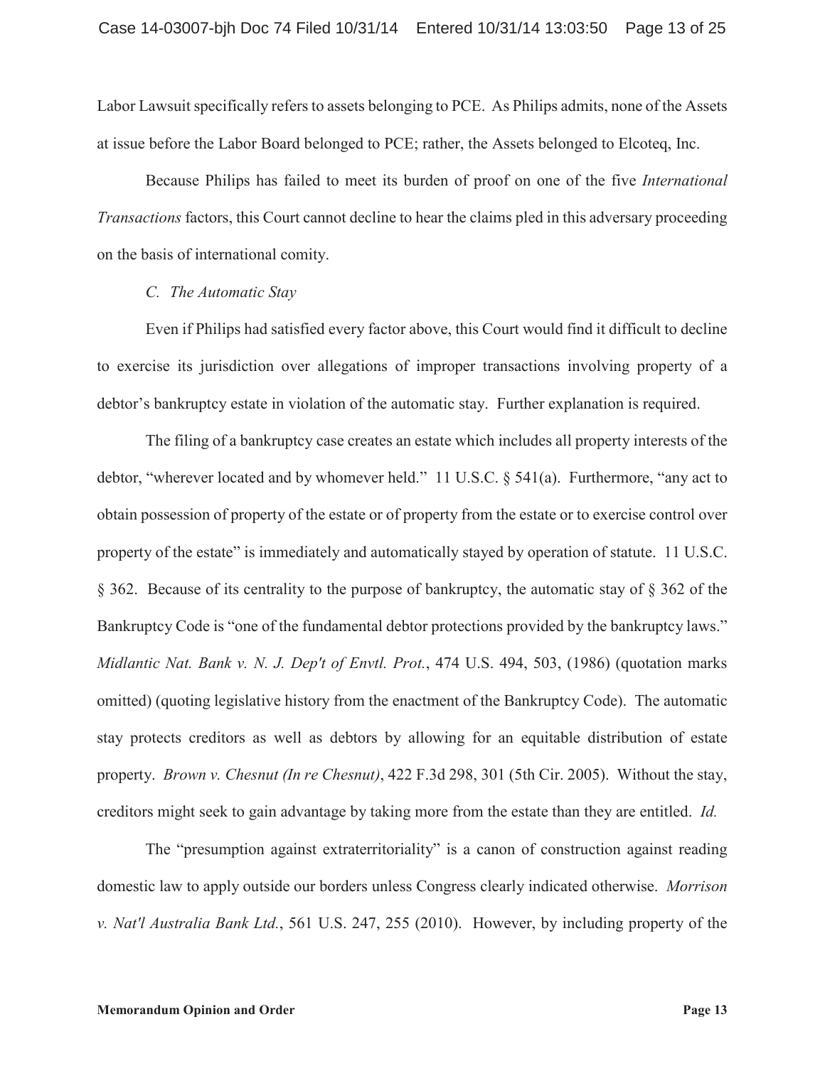Labor Lawsuit specifically refers to assets belonging to PCE. As Philips admits, none of the Assets at issue before the Labor Board belonged to PCE; rather, the Assets belonged to Elcoteq, Inc.

Because Philips has failed to meet its burden of proof on one of the five *International Transactions* factors, this Court cannot decline to hear the claims pled in this adversary proceeding on the basis of international comity.

### *C. The Automatic Stay*

Even if Philips had satisfied every factor above, this Court would find it difficult to decline to exercise its jurisdiction over allegations of improper transactions involving property of a debtor's bankruptcy estate in violation of the automatic stay. Further explanation is required.

The filing of a bankruptcy case creates an estate which includes all property interests of the debtor, "wherever located and by whomever held." 11 U.S.C. § 541(a). Furthermore, "any act to obtain possession of property of the estate or of property from the estate or to exercise control over property of the estate" is immediately and automatically stayed by operation of statute. 11 U.S.C. § 362. Because of its centrality to the purpose of bankruptcy, the automatic stay of § 362 of the Bankruptcy Code is "one of the fundamental debtor protections provided by the bankruptcy laws." *Midlantic Nat. Bank v. N. J. Dep't of Envtl. Prot.*, 474 U.S. 494, 503, (1986) (quotation marks omitted) (quoting legislative history from the enactment of the Bankruptcy Code). The automatic stay protects creditors as well as debtors by allowing for an equitable distribution of estate property. *Brown v. Chesnut (In re Chesnut)*, 422 F.3d 298, 301 (5th Cir. 2005). Without the stay, creditors might seek to gain advantage by taking more from the estate than they are entitled. *Id.* 

The "presumption against extraterritoriality" is a canon of construction against reading domestic law to apply outside our borders unless Congress clearly indicated otherwise. *Morrison v. Nat'l Australia Bank Ltd.*, 561 U.S. 247, 255 (2010). However, by including property of the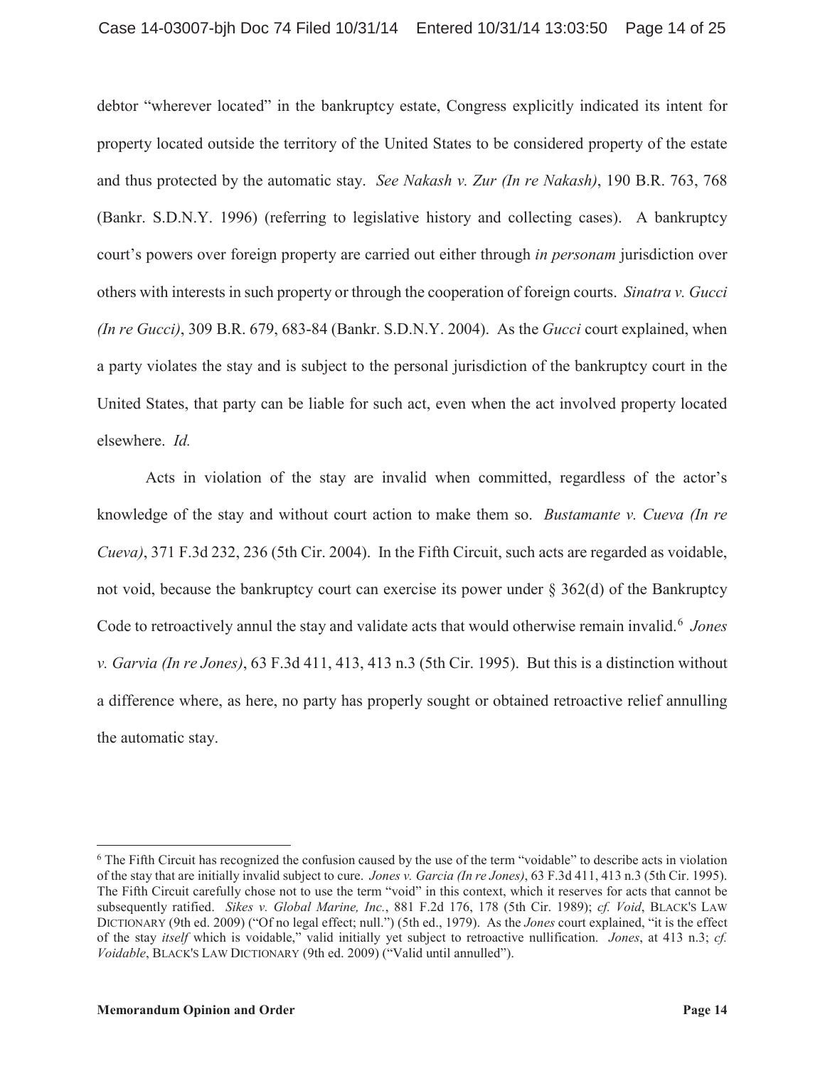debtor "wherever located" in the bankruptcy estate, Congress explicitly indicated its intent for property located outside the territory of the United States to be considered property of the estate and thus protected by the automatic stay. *See Nakash v. Zur (In re Nakash)*, 190 B.R. 763, 768 (Bankr. S.D.N.Y. 1996) (referring to legislative history and collecting cases). A bankruptcy court's powers over foreign property are carried out either through *in personam* jurisdiction over others with interests in such property or through the cooperation of foreign courts. *Sinatra v. Gucci (In re Gucci)*, 309 B.R. 679, 683-84 (Bankr. S.D.N.Y. 2004). As the *Gucci* court explained, when a party violates the stay and is subject to the personal jurisdiction of the bankruptcy court in the United States, that party can be liable for such act, even when the act involved property located elsewhere. *Id.*

Acts in violation of the stay are invalid when committed, regardless of the actor's knowledge of the stay and without court action to make them so. *Bustamante v. Cueva (In re Cueva)*, 371 F.3d 232, 236 (5th Cir. 2004). In the Fifth Circuit, such acts are regarded as voidable, not void, because the bankruptcy court can exercise its power under § 362(d) of the Bankruptcy Code to retroactively annul the stay and validate acts that would otherwise remain invalid.<sup>6</sup> *Jones v. Garvia (In re Jones)*, 63 F.3d 411, 413, 413 n.3 (5th Cir. 1995). But this is a distinction without a difference where, as here, no party has properly sought or obtained retroactive relief annulling the automatic stay.

<sup>&</sup>lt;sup>6</sup> The Fifth Circuit has recognized the confusion caused by the use of the term "voidable" to describe acts in violation of the stay that are initially invalid subject to cure. *Jones v. Garcia (In re Jones)*, 63 F.3d 411, 413 n.3 (5th Cir. 1995). The Fifth Circuit carefully chose not to use the term "void" in this context, which it reserves for acts that cannot be subsequently ratified. *Sikes v. Global Marine, Inc.*, 881 F.2d 176, 178 (5th Cir. 1989); *cf. Void*, BLACK'S LAW DICTIONARY (9th ed. 2009) ("Of no legal effect; null.") (5th ed., 1979). As the *Jones* court explained, "it is the effect of the stay *itself* which is voidable," valid initially yet subject to retroactive nullification. *Jones*, at 413 n.3; *cf. Voidable*, BLACK'S LAW DICTIONARY (9th ed. 2009) ("Valid until annulled").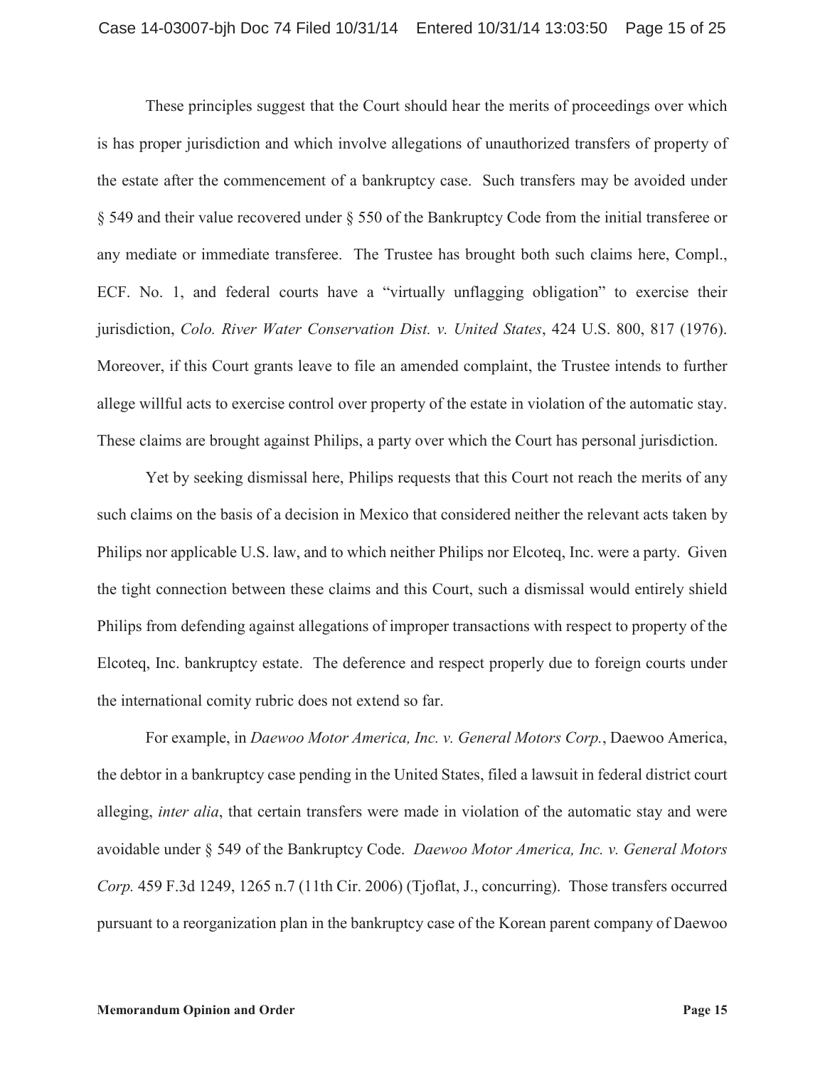These principles suggest that the Court should hear the merits of proceedings over which is has proper jurisdiction and which involve allegations of unauthorized transfers of property of the estate after the commencement of a bankruptcy case. Such transfers may be avoided under § 549 and their value recovered under § 550 of the Bankruptcy Code from the initial transferee or any mediate or immediate transferee. The Trustee has brought both such claims here, Compl., ECF. No. 1, and federal courts have a "virtually unflagging obligation" to exercise their jurisdiction, *Colo. River Water Conservation Dist. v. United States*, 424 U.S. 800, 817 (1976). Moreover, if this Court grants leave to file an amended complaint, the Trustee intends to further allege willful acts to exercise control over property of the estate in violation of the automatic stay. These claims are brought against Philips, a party over which the Court has personal jurisdiction.

Yet by seeking dismissal here, Philips requests that this Court not reach the merits of any such claims on the basis of a decision in Mexico that considered neither the relevant acts taken by Philips nor applicable U.S. law, and to which neither Philips nor Elcoteq, Inc. were a party. Given the tight connection between these claims and this Court, such a dismissal would entirely shield Philips from defending against allegations of improper transactions with respect to property of the Elcoteq, Inc. bankruptcy estate. The deference and respect properly due to foreign courts under the international comity rubric does not extend so far.

For example, in *Daewoo Motor America, Inc. v. General Motors Corp.*, Daewoo America, the debtor in a bankruptcy case pending in the United States, filed a lawsuit in federal district court alleging, *inter alia*, that certain transfers were made in violation of the automatic stay and were avoidable under § 549 of the Bankruptcy Code. *Daewoo Motor America, Inc. v. General Motors Corp.* 459 F.3d 1249, 1265 n.7 (11th Cir. 2006) (Tjoflat, J., concurring). Those transfers occurred pursuant to a reorganization plan in the bankruptcy case of the Korean parent company of Daewoo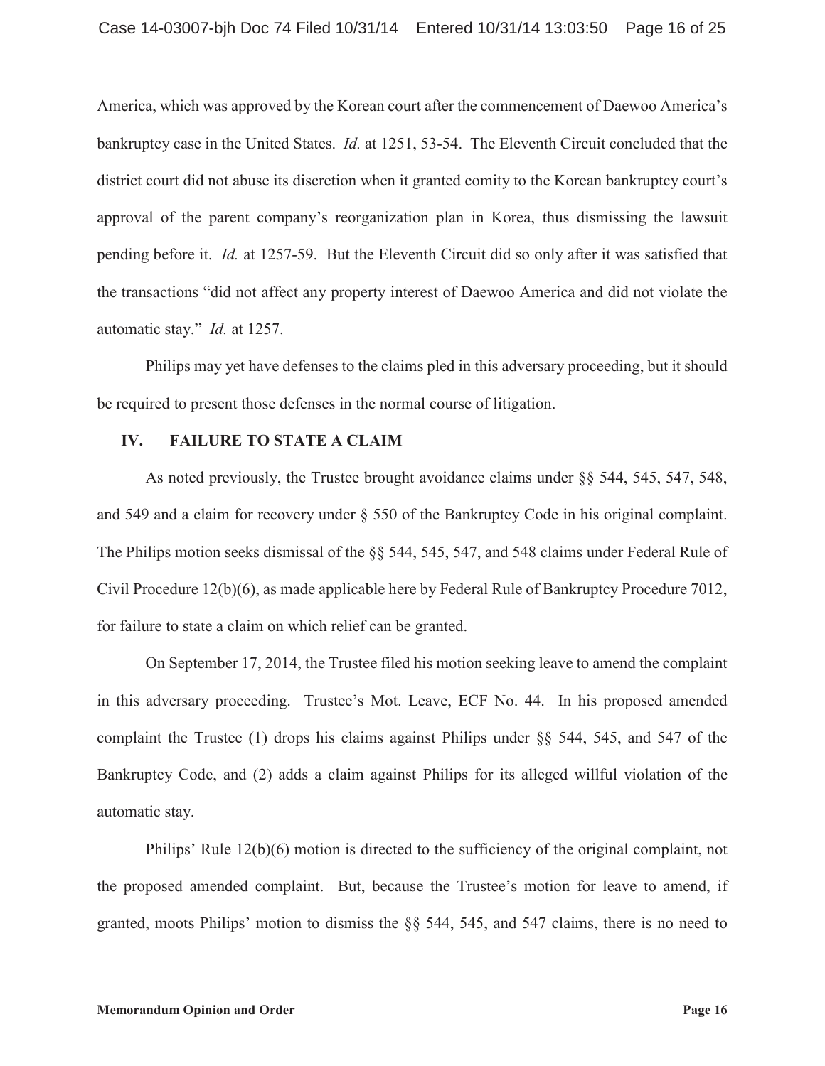America, which was approved by the Korean court after the commencement of Daewoo America's bankruptcy case in the United States. *Id.* at 1251, 53-54. The Eleventh Circuit concluded that the district court did not abuse its discretion when it granted comity to the Korean bankruptcy court's approval of the parent company's reorganization plan in Korea, thus dismissing the lawsuit pending before it. *Id.* at 1257-59. But the Eleventh Circuit did so only after it was satisfied that the transactions "did not affect any property interest of Daewoo America and did not violate the automatic stay." *Id.* at 1257.

Philips may yet have defenses to the claims pled in this adversary proceeding, but it should be required to present those defenses in the normal course of litigation.

## **IV. FAILURE TO STATE A CLAIM**

As noted previously, the Trustee brought avoidance claims under §§ 544, 545, 547, 548, and 549 and a claim for recovery under § 550 of the Bankruptcy Code in his original complaint. The Philips motion seeks dismissal of the §§ 544, 545, 547, and 548 claims under Federal Rule of Civil Procedure 12(b)(6), as made applicable here by Federal Rule of Bankruptcy Procedure 7012, for failure to state a claim on which relief can be granted.

On September 17, 2014, the Trustee filed his motion seeking leave to amend the complaint in this adversary proceeding. Trustee's Mot. Leave, ECF No. 44. In his proposed amended complaint the Trustee (1) drops his claims against Philips under §§ 544, 545, and 547 of the Bankruptcy Code, and (2) adds a claim against Philips for its alleged willful violation of the automatic stay.

Philips' Rule 12(b)(6) motion is directed to the sufficiency of the original complaint, not the proposed amended complaint. But, because the Trustee's motion for leave to amend, if granted, moots Philips' motion to dismiss the §§ 544, 545, and 547 claims, there is no need to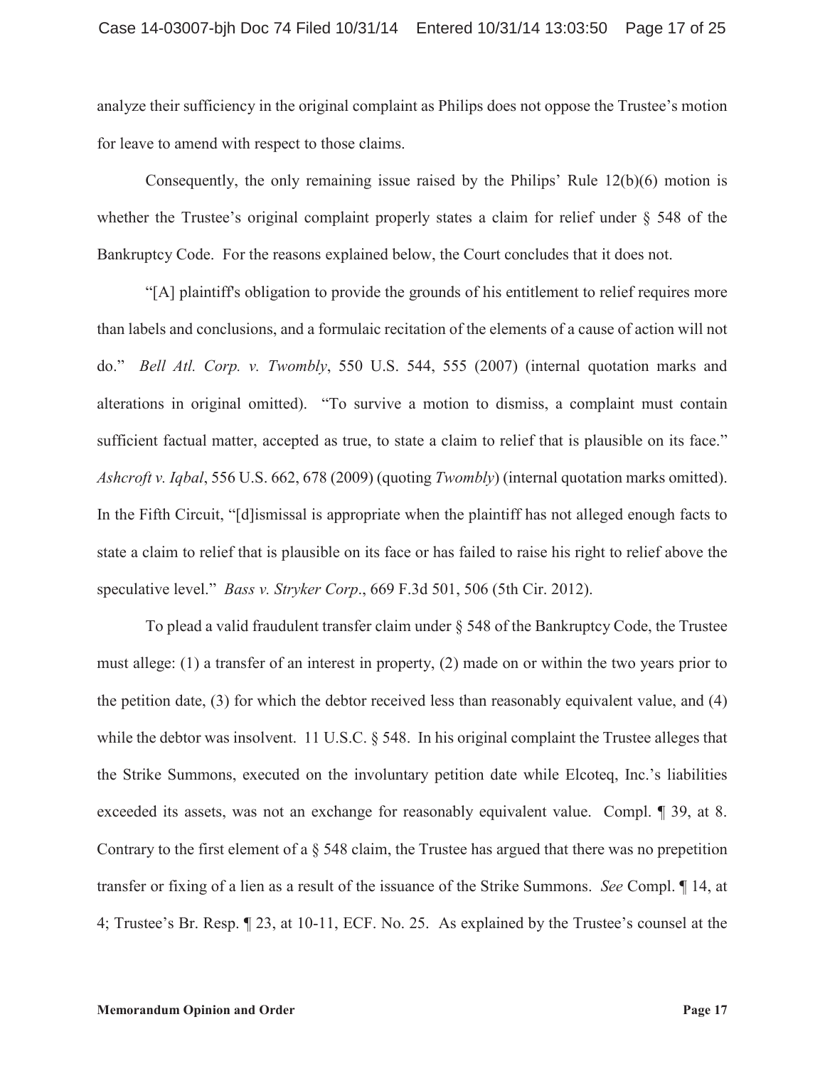analyze their sufficiency in the original complaint as Philips does not oppose the Trustee's motion for leave to amend with respect to those claims.

Consequently, the only remaining issue raised by the Philips' Rule 12(b)(6) motion is whether the Trustee's original complaint properly states a claim for relief under § 548 of the Bankruptcy Code. For the reasons explained below, the Court concludes that it does not.

"[A] plaintiff's obligation to provide the grounds of his entitlement to relief requires more than labels and conclusions, and a formulaic recitation of the elements of a cause of action will not do." *Bell Atl. Corp. v. Twombly*, 550 U.S. 544, 555 (2007) (internal quotation marks and alterations in original omitted). "To survive a motion to dismiss, a complaint must contain sufficient factual matter, accepted as true, to state a claim to relief that is plausible on its face." *Ashcroft v. Iqbal*, 556 U.S. 662, 678 (2009) (quoting *Twombly*) (internal quotation marks omitted). In the Fifth Circuit, "[d]ismissal is appropriate when the plaintiff has not alleged enough facts to state a claim to relief that is plausible on its face or has failed to raise his right to relief above the speculative level." *Bass v. Stryker Corp*., 669 F.3d 501, 506 (5th Cir. 2012).

To plead a valid fraudulent transfer claim under § 548 of the Bankruptcy Code, the Trustee must allege: (1) a transfer of an interest in property, (2) made on or within the two years prior to the petition date, (3) for which the debtor received less than reasonably equivalent value, and (4) while the debtor was insolvent. 11 U.S.C. § 548. In his original complaint the Trustee alleges that the Strike Summons, executed on the involuntary petition date while Elcoteq, Inc.'s liabilities exceeded its assets, was not an exchange for reasonably equivalent value. Compl. ¶ 39, at 8. Contrary to the first element of a § 548 claim, the Trustee has argued that there was no prepetition transfer or fixing of a lien as a result of the issuance of the Strike Summons. *See* Compl. ¶ 14, at 4; Trustee's Br. Resp. ¶ 23, at 10-11, ECF. No. 25. As explained by the Trustee's counsel at the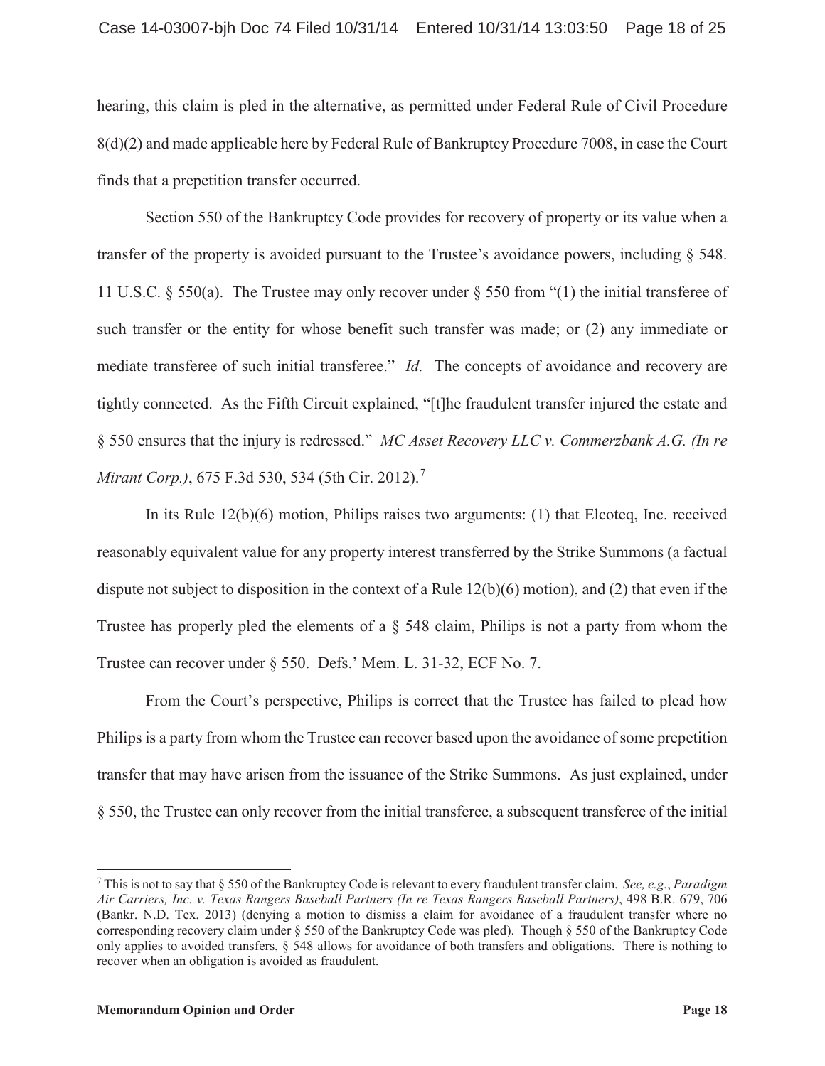hearing, this claim is pled in the alternative, as permitted under Federal Rule of Civil Procedure 8(d)(2) and made applicable here by Federal Rule of Bankruptcy Procedure 7008, in case the Court finds that a prepetition transfer occurred.

Section 550 of the Bankruptcy Code provides for recovery of property or its value when a transfer of the property is avoided pursuant to the Trustee's avoidance powers, including § 548. 11 U.S.C. § 550(a). The Trustee may only recover under § 550 from "(1) the initial transferee of such transfer or the entity for whose benefit such transfer was made; or (2) any immediate or mediate transferee of such initial transferee." *Id.* The concepts of avoidance and recovery are tightly connected. As the Fifth Circuit explained, "[t]he fraudulent transfer injured the estate and § 550 ensures that the injury is redressed." *MC Asset Recovery LLC v. Commerzbank A.G. (In re Mirant Corp.*), 675 F.3d 530, 534 (5th Cir. 2012).<sup>7</sup>

In its Rule 12(b)(6) motion, Philips raises two arguments: (1) that Elcoteq, Inc. received reasonably equivalent value for any property interest transferred by the Strike Summons (a factual dispute not subject to disposition in the context of a Rule 12(b)(6) motion), and (2) that even if the Trustee has properly pled the elements of a § 548 claim, Philips is not a party from whom the Trustee can recover under § 550. Defs.' Mem. L. 31-32, ECF No. 7.

From the Court's perspective, Philips is correct that the Trustee has failed to plead how Philips is a party from whom the Trustee can recover based upon the avoidance of some prepetition transfer that may have arisen from the issuance of the Strike Summons. As just explained, under § 550, the Trustee can only recover from the initial transferee, a subsequent transferee of the initial

<sup>7</sup> This is not to say that § 550 of the Bankruptcy Code is relevant to every fraudulent transfer claim. *See, e.g.*, *Paradigm Air Carriers, Inc. v. Texas Rangers Baseball Partners (In re Texas Rangers Baseball Partners)*, 498 B.R. 679, 706 (Bankr. N.D. Tex. 2013) (denying a motion to dismiss a claim for avoidance of a fraudulent transfer where no corresponding recovery claim under § 550 of the Bankruptcy Code was pled). Though § 550 of the Bankruptcy Code only applies to avoided transfers, § 548 allows for avoidance of both transfers and obligations. There is nothing to recover when an obligation is avoided as fraudulent.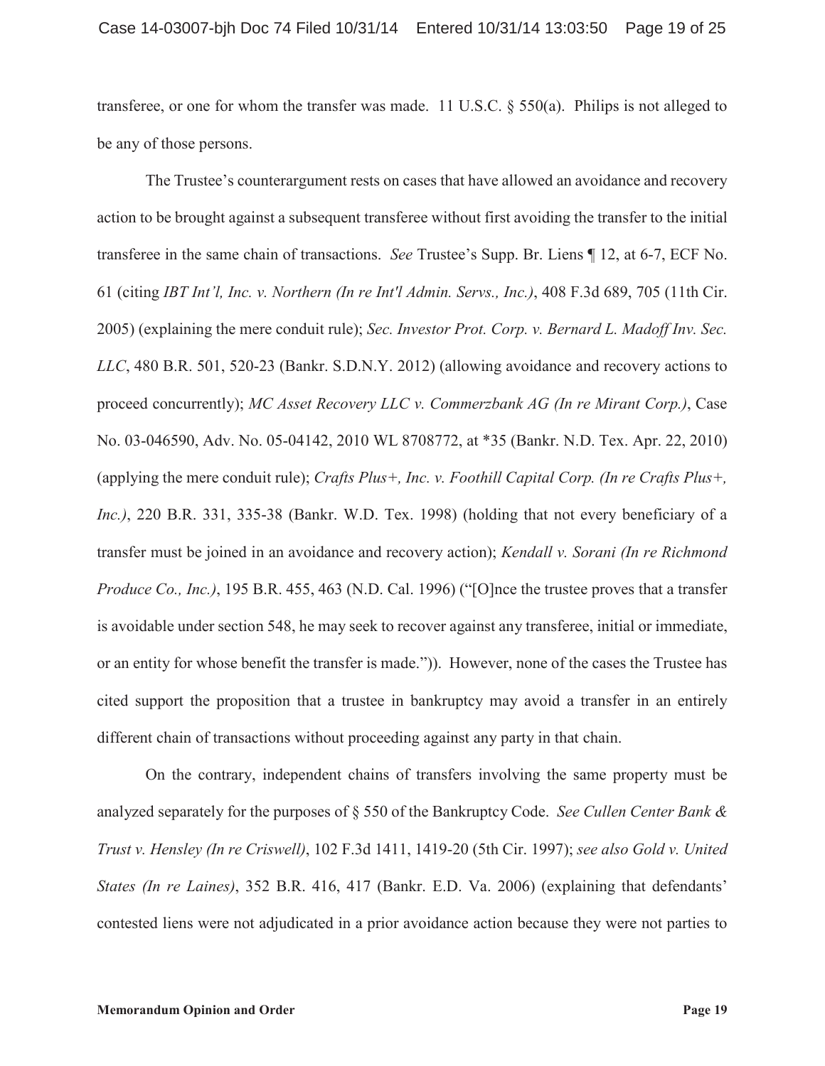transferee, or one for whom the transfer was made. 11 U.S.C. § 550(a). Philips is not alleged to be any of those persons.

The Trustee's counterargument rests on cases that have allowed an avoidance and recovery action to be brought against a subsequent transferee without first avoiding the transfer to the initial transferee in the same chain of transactions. *See* Trustee's Supp. Br. Liens ¶ 12, at 6-7, ECF No. 61 (citing *IBT Int'l, Inc. v. Northern (In re Int'l Admin. Servs., Inc.)*, 408 F.3d 689, 705 (11th Cir. 2005) (explaining the mere conduit rule); *Sec. Investor Prot. Corp. v. Bernard L. Madoff Inv. Sec. LLC*, 480 B.R. 501, 520-23 (Bankr. S.D.N.Y. 2012) (allowing avoidance and recovery actions to proceed concurrently); *MC Asset Recovery LLC v. Commerzbank AG (In re Mirant Corp.)*, Case No. 03-046590, Adv. No. 05-04142, 2010 WL 8708772, at \*35 (Bankr. N.D. Tex. Apr. 22, 2010) (applying the mere conduit rule); *Crafts Plus+, Inc. v. Foothill Capital Corp. (In re Crafts Plus+, Inc.)*, 220 B.R. 331, 335-38 (Bankr. W.D. Tex. 1998) (holding that not every beneficiary of a transfer must be joined in an avoidance and recovery action); *Kendall v. Sorani (In re Richmond Produce Co., Inc.)*, 195 B.R. 455, 463 (N.D. Cal. 1996) ("[O]nce the trustee proves that a transfer is avoidable under section 548, he may seek to recover against any transferee, initial or immediate, or an entity for whose benefit the transfer is made.")). However, none of the cases the Trustee has cited support the proposition that a trustee in bankruptcy may avoid a transfer in an entirely different chain of transactions without proceeding against any party in that chain.

On the contrary, independent chains of transfers involving the same property must be analyzed separately for the purposes of § 550 of the Bankruptcy Code. *See Cullen Center Bank & Trust v. Hensley (In re Criswell)*, 102 F.3d 1411, 1419-20 (5th Cir. 1997); *see also Gold v. United States (In re Laines)*, 352 B.R. 416, 417 (Bankr. E.D. Va. 2006) (explaining that defendants' contested liens were not adjudicated in a prior avoidance action because they were not parties to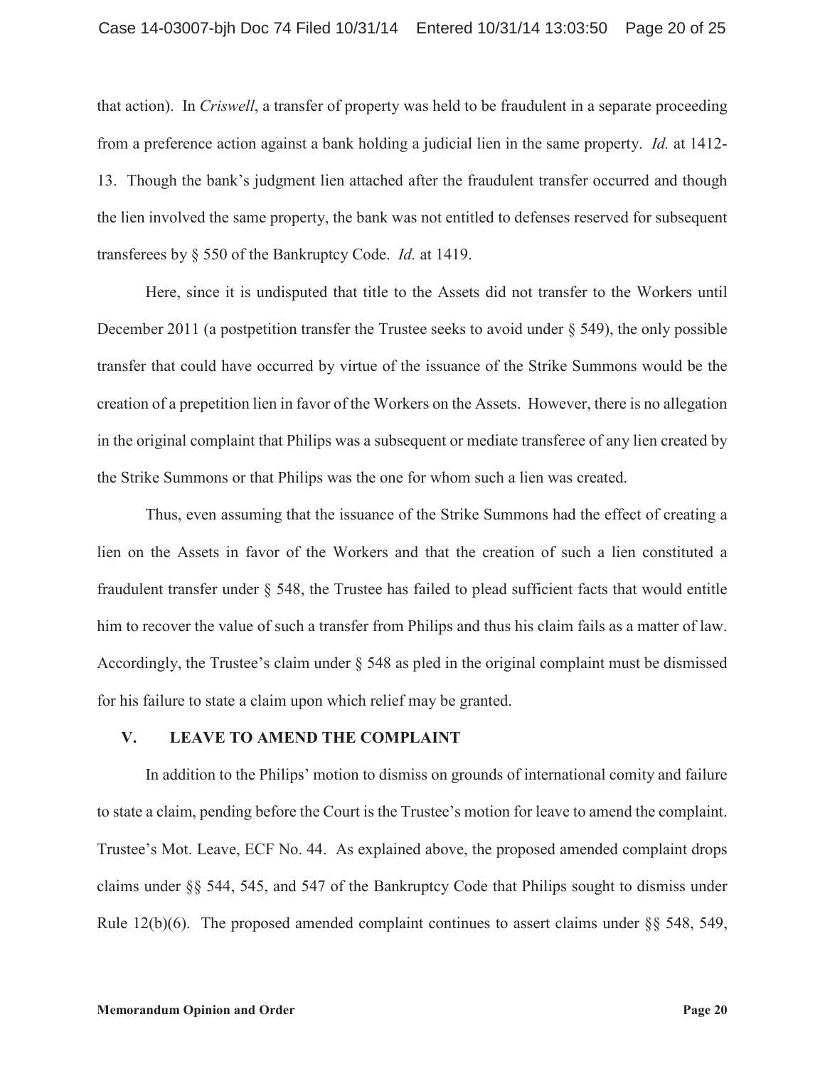that action). In *Criswell*, a transfer of property was held to be fraudulent in a separate proceeding from a preference action against a bank holding a judicial lien in the same property. *Id.* at 1412- 13. Though the bank's judgment lien attached after the fraudulent transfer occurred and though the lien involved the same property, the bank was not entitled to defenses reserved for subsequent transferees by § 550 of the Bankruptcy Code. *Id.* at 1419.

Here, since it is undisputed that title to the Assets did not transfer to the Workers until December 2011 (a postpetition transfer the Trustee seeks to avoid under § 549), the only possible transfer that could have occurred by virtue of the issuance of the Strike Summons would be the creation of a prepetition lien in favor of the Workers on the Assets. However, there is no allegation in the original complaint that Philips was a subsequent or mediate transferee of any lien created by the Strike Summons or that Philips was the one for whom such a lien was created.

Thus, even assuming that the issuance of the Strike Summons had the effect of creating a lien on the Assets in favor of the Workers and that the creation of such a lien constituted a fraudulent transfer under § 548, the Trustee has failed to plead sufficient facts that would entitle him to recover the value of such a transfer from Philips and thus his claim fails as a matter of law. Accordingly, the Trustee's claim under § 548 as pled in the original complaint must be dismissed for his failure to state a claim upon which relief may be granted.

#### **V. LEAVE TO AMEND THE COMPLAINT**

In addition to the Philips' motion to dismiss on grounds of international comity and failure to state a claim, pending before the Court is the Trustee's motion for leave to amend the complaint. Trustee's Mot. Leave, ECF No. 44. As explained above, the proposed amended complaint drops claims under §§ 544, 545, and 547 of the Bankruptcy Code that Philips sought to dismiss under Rule  $12(b)(6)$ . The proposed amended complaint continues to assert claims under §§ 548, 549,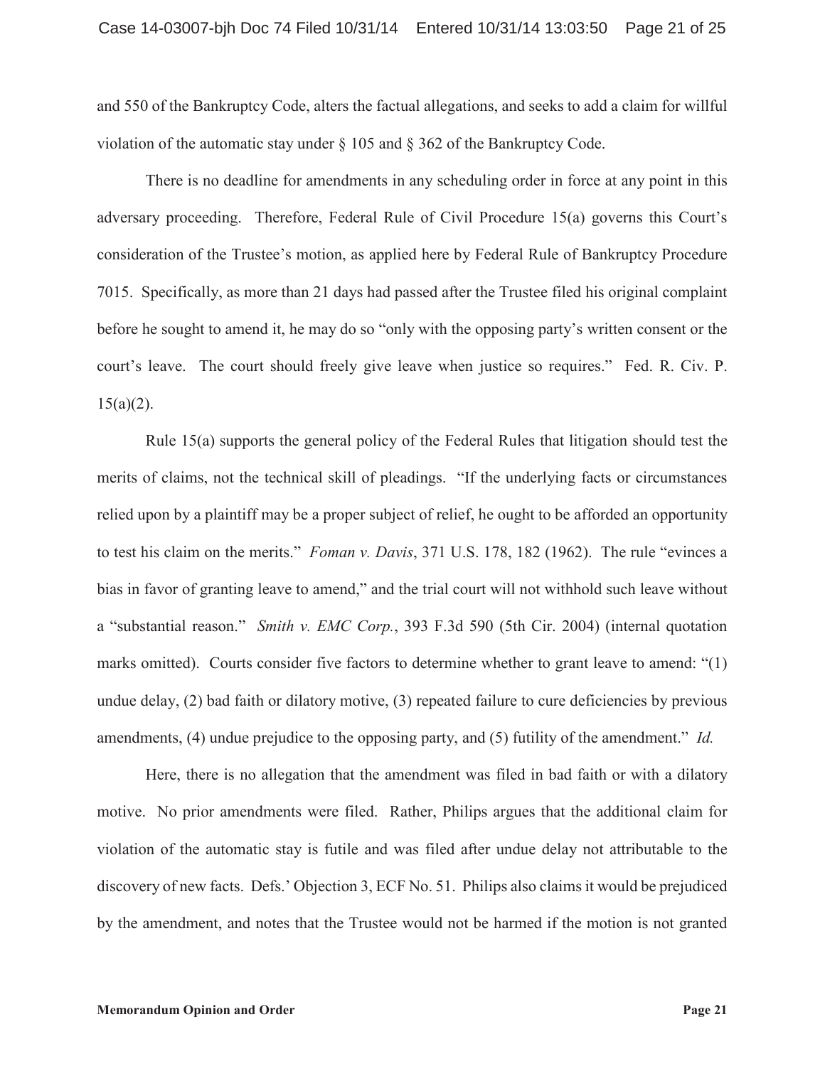and 550 of the Bankruptcy Code, alters the factual allegations, and seeks to add a claim for willful violation of the automatic stay under  $\S 105$  and  $\S 362$  of the Bankruptcy Code.

There is no deadline for amendments in any scheduling order in force at any point in this adversary proceeding. Therefore, Federal Rule of Civil Procedure 15(a) governs this Court's consideration of the Trustee's motion, as applied here by Federal Rule of Bankruptcy Procedure 7015. Specifically, as more than 21 days had passed after the Trustee filed his original complaint before he sought to amend it, he may do so "only with the opposing party's written consent or the court's leave. The court should freely give leave when justice so requires." Fed. R. Civ. P.  $15(a)(2)$ .

Rule 15(a) supports the general policy of the Federal Rules that litigation should test the merits of claims, not the technical skill of pleadings. "If the underlying facts or circumstances relied upon by a plaintiff may be a proper subject of relief, he ought to be afforded an opportunity to test his claim on the merits." *Foman v. Davis*, 371 U.S. 178, 182 (1962). The rule "evinces a bias in favor of granting leave to amend," and the trial court will not withhold such leave without a "substantial reason." *Smith v. EMC Corp.*, 393 F.3d 590 (5th Cir. 2004) (internal quotation marks omitted). Courts consider five factors to determine whether to grant leave to amend: "(1) undue delay, (2) bad faith or dilatory motive, (3) repeated failure to cure deficiencies by previous amendments, (4) undue prejudice to the opposing party, and (5) futility of the amendment." *Id.*

Here, there is no allegation that the amendment was filed in bad faith or with a dilatory motive. No prior amendments were filed. Rather, Philips argues that the additional claim for violation of the automatic stay is futile and was filed after undue delay not attributable to the discovery of new facts. Defs.' Objection 3, ECF No. 51. Philips also claims it would be prejudiced by the amendment, and notes that the Trustee would not be harmed if the motion is not granted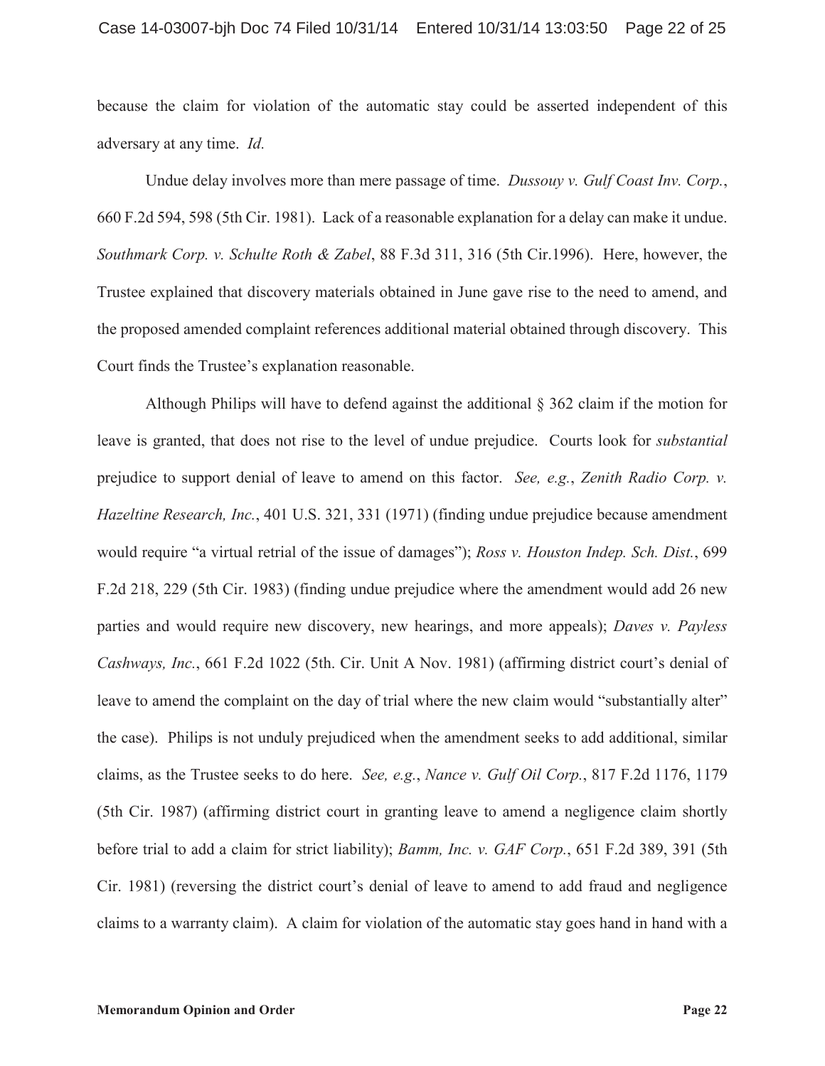because the claim for violation of the automatic stay could be asserted independent of this adversary at any time. *Id.*

Undue delay involves more than mere passage of time. *Dussouy v. Gulf Coast Inv. Corp.*, 660 F.2d 594, 598 (5th Cir. 1981). Lack of a reasonable explanation for a delay can make it undue. *Southmark Corp. v. Schulte Roth & Zabel*, 88 F.3d 311, 316 (5th Cir.1996). Here, however, the Trustee explained that discovery materials obtained in June gave rise to the need to amend, and the proposed amended complaint references additional material obtained through discovery. This Court finds the Trustee's explanation reasonable.

Although Philips will have to defend against the additional § 362 claim if the motion for leave is granted, that does not rise to the level of undue prejudice. Courts look for *substantial* prejudice to support denial of leave to amend on this factor. *See, e.g.*, *Zenith Radio Corp. v. Hazeltine Research, Inc.*, 401 U.S. 321, 331 (1971) (finding undue prejudice because amendment would require "a virtual retrial of the issue of damages"); *Ross v. Houston Indep. Sch. Dist.*, 699 F.2d 218, 229 (5th Cir. 1983) (finding undue prejudice where the amendment would add 26 new parties and would require new discovery, new hearings, and more appeals); *Daves v. Payless Cashways, Inc.*, 661 F.2d 1022 (5th. Cir. Unit A Nov. 1981) (affirming district court's denial of leave to amend the complaint on the day of trial where the new claim would "substantially alter" the case). Philips is not unduly prejudiced when the amendment seeks to add additional, similar claims, as the Trustee seeks to do here. *See, e.g.*, *Nance v. Gulf Oil Corp.*, 817 F.2d 1176, 1179 (5th Cir. 1987) (affirming district court in granting leave to amend a negligence claim shortly before trial to add a claim for strict liability); *Bamm, Inc. v. GAF Corp.*, 651 F.2d 389, 391 (5th Cir. 1981) (reversing the district court's denial of leave to amend to add fraud and negligence claims to a warranty claim). A claim for violation of the automatic stay goes hand in hand with a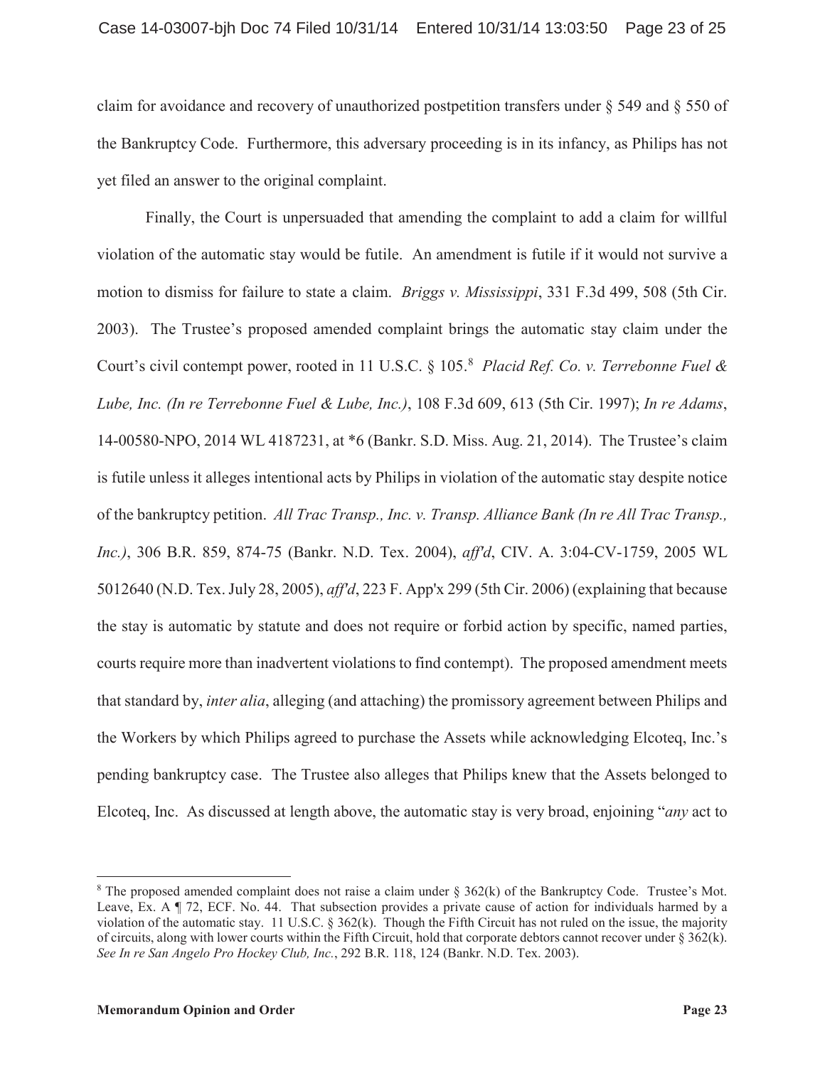claim for avoidance and recovery of unauthorized postpetition transfers under § 549 and § 550 of the Bankruptcy Code. Furthermore, this adversary proceeding is in its infancy, as Philips has not yet filed an answer to the original complaint.

Finally, the Court is unpersuaded that amending the complaint to add a claim for willful violation of the automatic stay would be futile. An amendment is futile if it would not survive a motion to dismiss for failure to state a claim. *Briggs v. Mississippi*, 331 F.3d 499, 508 (5th Cir. 2003). The Trustee's proposed amended complaint brings the automatic stay claim under the Court's civil contempt power, rooted in 11 U.S.C. § 105.<sup>8</sup> *Placid Ref. Co. v. Terrebonne Fuel & Lube, Inc. (In re Terrebonne Fuel & Lube, Inc.)*, 108 F.3d 609, 613 (5th Cir. 1997); *In re Adams*, 14-00580-NPO, 2014 WL 4187231, at \*6 (Bankr. S.D. Miss. Aug. 21, 2014). The Trustee's claim is futile unless it alleges intentional acts by Philips in violation of the automatic stay despite notice of the bankruptcy petition. *All Trac Transp., Inc. v. Transp. Alliance Bank (In re All Trac Transp., Inc.)*, 306 B.R. 859, 874-75 (Bankr. N.D. Tex. 2004), *aff'd*, CIV. A. 3:04-CV-1759, 2005 WL 5012640 (N.D. Tex. July 28, 2005), *aff'd*, 223 F. App'x 299 (5th Cir. 2006) (explaining that because the stay is automatic by statute and does not require or forbid action by specific, named parties, courts require more than inadvertent violations to find contempt). The proposed amendment meets that standard by, *inter alia*, alleging (and attaching) the promissory agreement between Philips and the Workers by which Philips agreed to purchase the Assets while acknowledging Elcoteq, Inc.'s pending bankruptcy case. The Trustee also alleges that Philips knew that the Assets belonged to Elcoteq, Inc. As discussed at length above, the automatic stay is very broad, enjoining "*any* act to

<sup>&</sup>lt;sup>8</sup> The proposed amended complaint does not raise a claim under § 362(k) of the Bankruptcy Code. Trustee's Mot. Leave, Ex. A ¶ 72, ECF. No. 44. That subsection provides a private cause of action for individuals harmed by a violation of the automatic stay. 11 U.S.C. § 362(k). Though the Fifth Circuit has not ruled on the issue, the majority of circuits, along with lower courts within the Fifth Circuit, hold that corporate debtors cannot recover under  $\S 362(k)$ . *See In re San Angelo Pro Hockey Club, Inc.*, 292 B.R. 118, 124 (Bankr. N.D. Tex. 2003).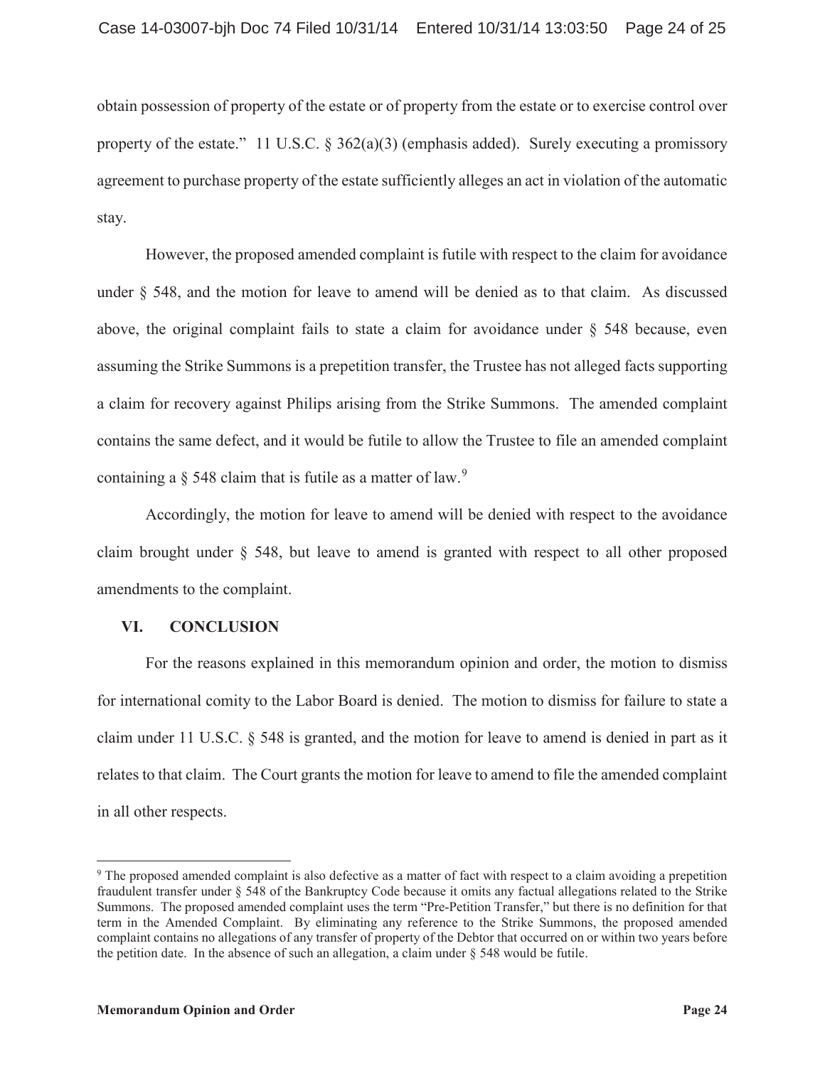obtain possession of property of the estate or of property from the estate or to exercise control over property of the estate." 11 U.S.C.  $\S 362(a)(3)$  (emphasis added). Surely executing a promissory agreement to purchase property of the estate sufficiently alleges an act in violation of the automatic stay.

However, the proposed amended complaint is futile with respect to the claim for avoidance under § 548, and the motion for leave to amend will be denied as to that claim. As discussed above, the original complaint fails to state a claim for avoidance under § 548 because, even assuming the Strike Summons is a prepetition transfer, the Trustee has not alleged facts supporting a claim for recovery against Philips arising from the Strike Summons. The amended complaint contains the same defect, and it would be futile to allow the Trustee to file an amended complaint containing a  $\S$  548 claim that is futile as a matter of law.<sup>9</sup>

Accordingly, the motion for leave to amend will be denied with respect to the avoidance claim brought under § 548, but leave to amend is granted with respect to all other proposed amendments to the complaint.

## **VI. CONCLUSION**

For the reasons explained in this memorandum opinion and order, the motion to dismiss for international comity to the Labor Board is denied. The motion to dismiss for failure to state a claim under 11 U.S.C. § 548 is granted, and the motion for leave to amend is denied in part as it relates to that claim. The Court grants the motion for leave to amend to file the amended complaint in all other respects.

<sup>9</sup> The proposed amended complaint is also defective as a matter of fact with respect to a claim avoiding a prepetition fraudulent transfer under § 548 of the Bankruptcy Code because it omits any factual allegations related to the Strike Summons. The proposed amended complaint uses the term "Pre-Petition Transfer," but there is no definition for that term in the Amended Complaint. By eliminating any reference to the Strike Summons, the proposed amended complaint contains no allegations of any transfer of property of the Debtor that occurred on or within two years before the petition date. In the absence of such an allegation, a claim under  $\S$  548 would be futile.